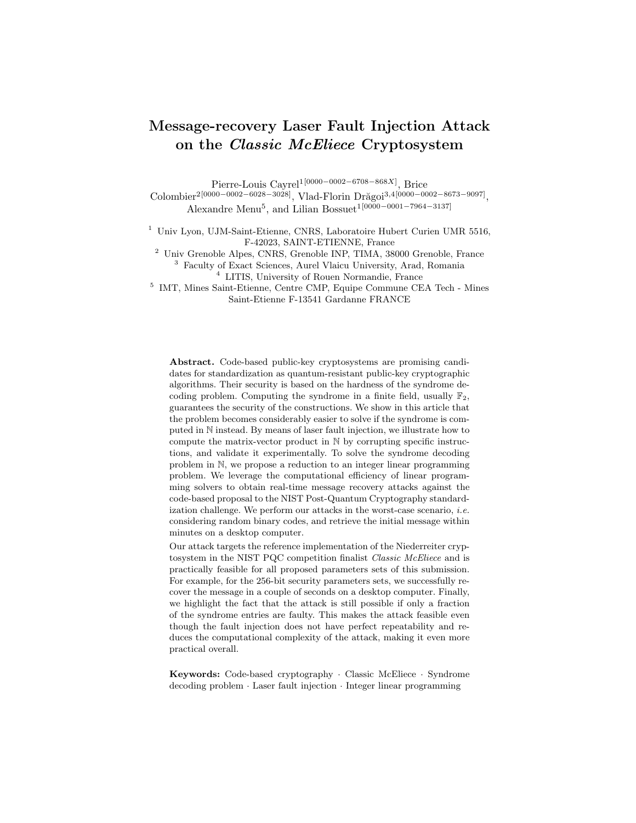# Message-recovery Laser Fault Injection Attack on the Classic McEliece Cryptosystem

Pierre-Louis Cayrel<sup>1[0000–0002–6708–868X]</sup>, Brice  $\text{Colombier}^{2[0000-0002-6028-3028]}, \text{Vlad-Florin Drăgoi}^{3,4[0000-0002-8673-9097]},$ Alexandre Menu<sup>5</sup>, and Lilian Bossuet<sup>1[0000–0001–7964–3137]</sup>

<sup>1</sup> Univ Lyon, UJM-Saint-Etienne, CNRS, Laboratoire Hubert Curien UMR 5516, F-42023, SAINT-ETIENNE, France

<sup>2</sup> Univ Grenoble Alpes, CNRS, Grenoble INP, TIMA, 38000 Grenoble, France <sup>3</sup> Faculty of Exact Sciences, Aurel Vlaicu University, Arad, Romania

<sup>4</sup> LITIS, University of Rouen Normandie, France

5 IMT, Mines Saint-Etienne, Centre CMP, Equipe Commune CEA Tech - Mines Saint-Etienne F-13541 Gardanne FRANCE

Abstract. Code-based public-key cryptosystems are promising candidates for standardization as quantum-resistant public-key cryptographic algorithms. Their security is based on the hardness of the syndrome decoding problem. Computing the syndrome in a finite field, usually  $\mathbb{F}_2$ , guarantees the security of the constructions. We show in this article that the problem becomes considerably easier to solve if the syndrome is computed in N instead. By means of laser fault injection, we illustrate how to compute the matrix-vector product in  $\mathbb N$  by corrupting specific instructions, and validate it experimentally. To solve the syndrome decoding problem in N, we propose a reduction to an integer linear programming problem. We leverage the computational efficiency of linear programming solvers to obtain real-time message recovery attacks against the code-based proposal to the NIST Post-Quantum Cryptography standardization challenge. We perform our attacks in the worst-case scenario,  $i.e.$ considering random binary codes, and retrieve the initial message within minutes on a desktop computer.

Our attack targets the reference implementation of the Niederreiter cryptosystem in the NIST PQC competition finalist Classic McEliece and is practically feasible for all proposed parameters sets of this submission. For example, for the 256-bit security parameters sets, we successfully recover the message in a couple of seconds on a desktop computer. Finally, we highlight the fact that the attack is still possible if only a fraction of the syndrome entries are faulty. This makes the attack feasible even though the fault injection does not have perfect repeatability and reduces the computational complexity of the attack, making it even more practical overall.

Keywords: Code-based cryptography · Classic McEliece · Syndrome decoding problem · Laser fault injection · Integer linear programming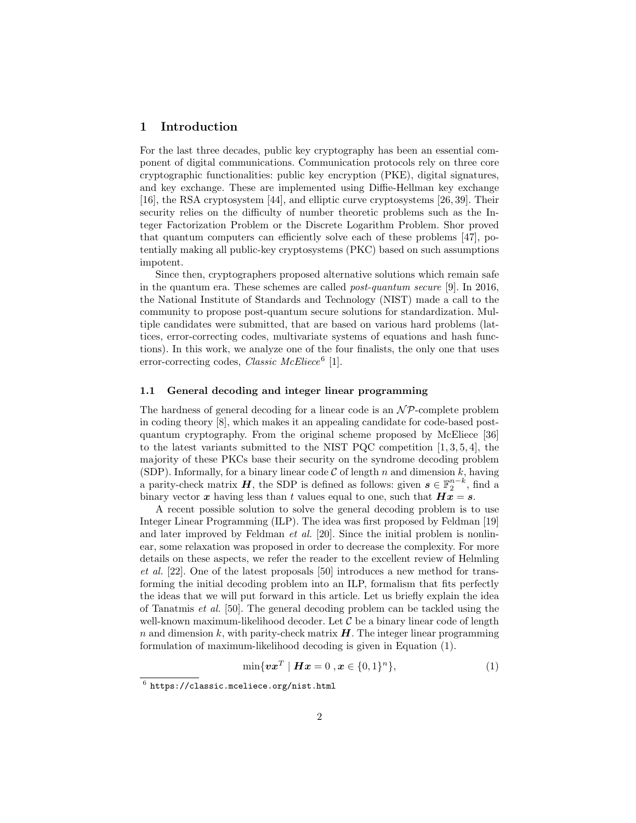# 1 Introduction

For the last three decades, public key cryptography has been an essential component of digital communications. Communication protocols rely on three core cryptographic functionalities: public key encryption (PKE), digital signatures, and key exchange. These are implemented using Diffie-Hellman key exchange [16], the RSA cryptosystem [44], and elliptic curve cryptosystems [26, 39]. Their security relies on the difficulty of number theoretic problems such as the Integer Factorization Problem or the Discrete Logarithm Problem. Shor proved that quantum computers can efficiently solve each of these problems [47], potentially making all public-key cryptosystems (PKC) based on such assumptions impotent.

Since then, cryptographers proposed alternative solutions which remain safe in the quantum era. These schemes are called post-quantum secure [9]. In 2016, the National Institute of Standards and Technology (NIST) made a call to the community to propose post-quantum secure solutions for standardization. Multiple candidates were submitted, that are based on various hard problems (lattices, error-correcting codes, multivariate systems of equations and hash functions). In this work, we analyze one of the four finalists, the only one that uses error-correcting codes, *Classic McEliece*<sup>6</sup> [1].

#### 1.1 General decoding and integer linear programming

The hardness of general decoding for a linear code is an  $\mathcal{NP}$ -complete problem in coding theory [8], which makes it an appealing candidate for code-based postquantum cryptography. From the original scheme proposed by McEliece [36] to the latest variants submitted to the NIST PQC competition  $[1, 3, 5, 4]$ , the majority of these PKCs base their security on the syndrome decoding problem (SDP). Informally, for a binary linear code  $\mathcal C$  of length n and dimension k, having a parity-check matrix  $H$ , the SDP is defined as follows: given  $s \in \mathbb{F}_2^{n-k}$ , find a binary vector x having less than t values equal to one, such that  $Hx = s$ .

A recent possible solution to solve the general decoding problem is to use Integer Linear Programming (ILP). The idea was first proposed by Feldman [19] and later improved by Feldman et al. [20]. Since the initial problem is nonlinear, some relaxation was proposed in order to decrease the complexity. For more details on these aspects, we refer the reader to the excellent review of Helmling et al. [22]. One of the latest proposals [50] introduces a new method for transforming the initial decoding problem into an ILP, formalism that fits perfectly the ideas that we will put forward in this article. Let us briefly explain the idea of Tanatmis et al. [50]. The general decoding problem can be tackled using the well-known maximum-likelihood decoder. Let  $\mathcal C$  be a binary linear code of length n and dimension k, with parity-check matrix  $H$ . The integer linear programming formulation of maximum-likelihood decoding is given in Equation (1).

$$
\min\{\boldsymbol{v}\boldsymbol{x}^T \mid \boldsymbol{H}\boldsymbol{x} = 0 \; , \boldsymbol{x} \in \{0,1\}^n\},\tag{1}
$$

 $^6$  https://classic.mceliece.org/nist.html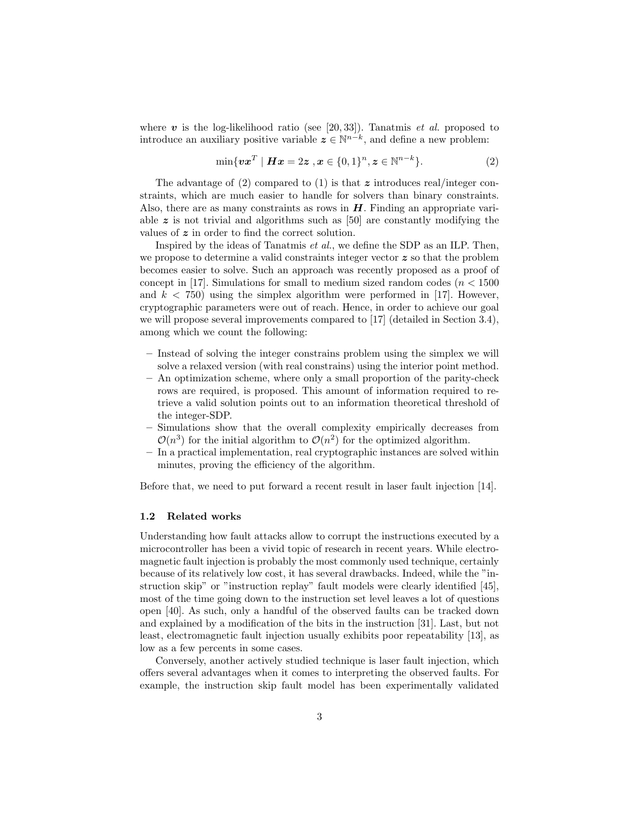where  $v$  is the log-likelihood ratio (see [20, 33]). Tanatmis *et al.* proposed to introduce an auxiliary positive variable  $z \in \mathbb{N}^{n-k}$ , and define a new problem:

$$
\min\{\mathbf{v}\mathbf{x}^T \mid \mathbf{H}\mathbf{x} = 2\mathbf{z} \,, \mathbf{x} \in \{0, 1\}^n, \mathbf{z} \in \mathbb{N}^{n-k}\}.
$$
 (2)

The advantage of  $(2)$  compared to  $(1)$  is that z introduces real/integer constraints, which are much easier to handle for solvers than binary constraints. Also, there are as many constraints as rows in  $H$ . Finding an appropriate variable  $z$  is not trivial and algorithms such as  $[50]$  are constantly modifying the values of z in order to find the correct solution.

Inspired by the ideas of Tanatmis et al., we define the SDP as an ILP. Then, we propose to determine a valid constraints integer vector  $\boldsymbol{z}$  so that the problem becomes easier to solve. Such an approach was recently proposed as a proof of concept in [17]. Simulations for small to medium sized random codes ( $n < 1500$ ) and  $k < 750$ ) using the simplex algorithm were performed in [17]. However, cryptographic parameters were out of reach. Hence, in order to achieve our goal we will propose several improvements compared to [17] (detailed in Section 3.4), among which we count the following:

- Instead of solving the integer constrains problem using the simplex we will solve a relaxed version (with real constrains) using the interior point method.
- An optimization scheme, where only a small proportion of the parity-check rows are required, is proposed. This amount of information required to retrieve a valid solution points out to an information theoretical threshold of the integer-SDP.
- Simulations show that the overall complexity empirically decreases from  $\mathcal{O}(n^3)$  for the initial algorithm to  $\mathcal{O}(n^2)$  for the optimized algorithm.
- In a practical implementation, real cryptographic instances are solved within minutes, proving the efficiency of the algorithm.

Before that, we need to put forward a recent result in laser fault injection [14].

#### 1.2 Related works

Understanding how fault attacks allow to corrupt the instructions executed by a microcontroller has been a vivid topic of research in recent years. While electromagnetic fault injection is probably the most commonly used technique, certainly because of its relatively low cost, it has several drawbacks. Indeed, while the "instruction skip" or "instruction replay" fault models were clearly identified [45], most of the time going down to the instruction set level leaves a lot of questions open [40]. As such, only a handful of the observed faults can be tracked down and explained by a modification of the bits in the instruction [31]. Last, but not least, electromagnetic fault injection usually exhibits poor repeatability [13], as low as a few percents in some cases.

Conversely, another actively studied technique is laser fault injection, which offers several advantages when it comes to interpreting the observed faults. For example, the instruction skip fault model has been experimentally validated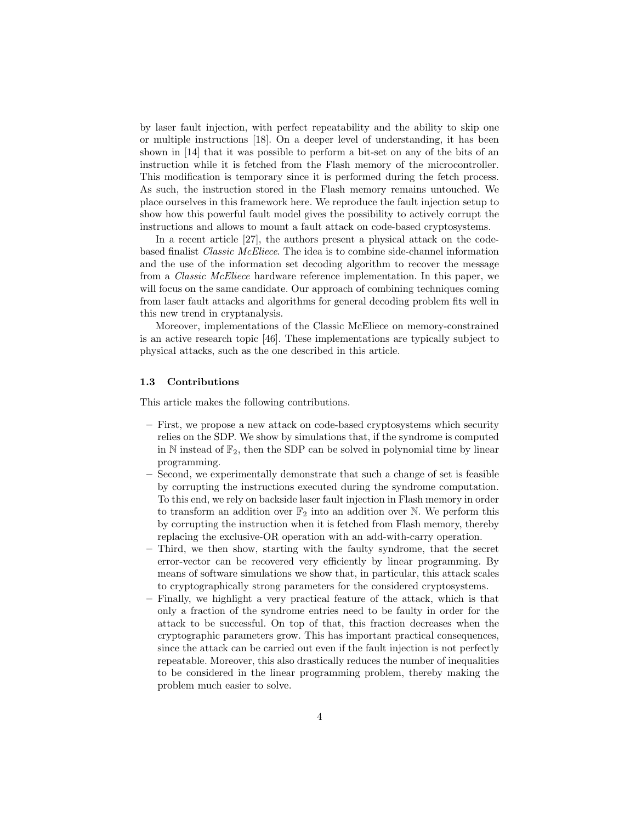by laser fault injection, with perfect repeatability and the ability to skip one or multiple instructions [18]. On a deeper level of understanding, it has been shown in [14] that it was possible to perform a bit-set on any of the bits of an instruction while it is fetched from the Flash memory of the microcontroller. This modification is temporary since it is performed during the fetch process. As such, the instruction stored in the Flash memory remains untouched. We place ourselves in this framework here. We reproduce the fault injection setup to show how this powerful fault model gives the possibility to actively corrupt the instructions and allows to mount a fault attack on code-based cryptosystems.

In a recent article [27], the authors present a physical attack on the codebased finalist Classic McEliece. The idea is to combine side-channel information and the use of the information set decoding algorithm to recover the message from a Classic McEliece hardware reference implementation. In this paper, we will focus on the same candidate. Our approach of combining techniques coming from laser fault attacks and algorithms for general decoding problem fits well in this new trend in cryptanalysis.

Moreover, implementations of the Classic McEliece on memory-constrained is an active research topic [46]. These implementations are typically subject to physical attacks, such as the one described in this article.

#### 1.3 Contributions

This article makes the following contributions.

- First, we propose a new attack on code-based cryptosystems which security relies on the SDP. We show by simulations that, if the syndrome is computed in N instead of  $\mathbb{F}_2$ , then the SDP can be solved in polynomial time by linear programming.
- Second, we experimentally demonstrate that such a change of set is feasible by corrupting the instructions executed during the syndrome computation. To this end, we rely on backside laser fault injection in Flash memory in order to transform an addition over  $\mathbb{F}_2$  into an addition over N. We perform this by corrupting the instruction when it is fetched from Flash memory, thereby replacing the exclusive-OR operation with an add-with-carry operation.
- Third, we then show, starting with the faulty syndrome, that the secret error-vector can be recovered very efficiently by linear programming. By means of software simulations we show that, in particular, this attack scales to cryptographically strong parameters for the considered cryptosystems.
- Finally, we highlight a very practical feature of the attack, which is that only a fraction of the syndrome entries need to be faulty in order for the attack to be successful. On top of that, this fraction decreases when the cryptographic parameters grow. This has important practical consequences, since the attack can be carried out even if the fault injection is not perfectly repeatable. Moreover, this also drastically reduces the number of inequalities to be considered in the linear programming problem, thereby making the problem much easier to solve.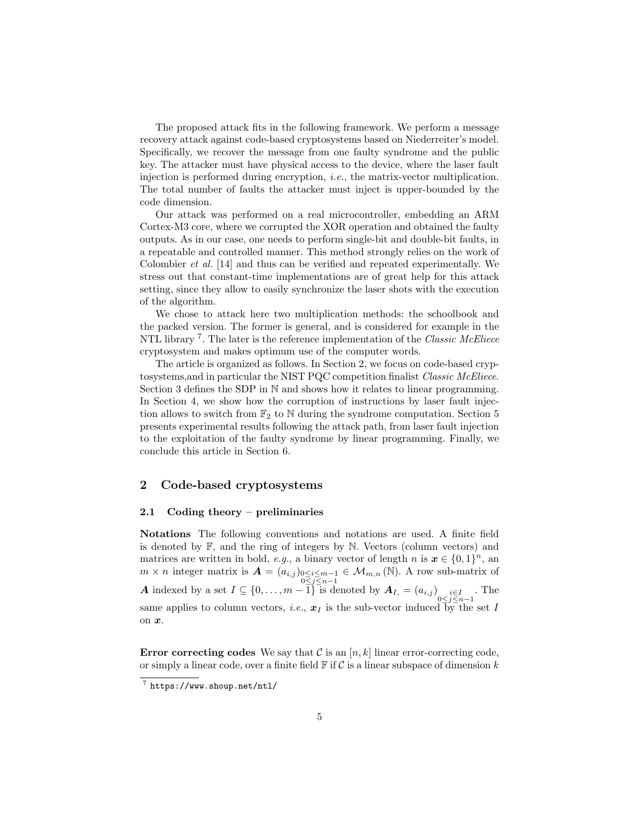The proposed attack fits in the following framework. We perform a message recovery attack against code-based cryptosystems based on Niederreiter's model. Specifically, we recover the message from one faulty syndrome and the public key. The attacker must have physical access to the device, where the laser fault injection is performed during encryption, i.e., the matrix-vector multiplication. The total number of faults the attacker must inject is upper-bounded by the code dimension.

Our attack was performed on a real microcontroller, embedding an ARM Cortex-M3 core, where we corrupted the XOR operation and obtained the faulty outputs. As in our case, one needs to perform single-bit and double-bit faults, in a repeatable and controlled manner. This method strongly relies on the work of Colombier et al. [14] and thus can be verified and repeated experimentally. We stress out that constant-time implementations are of great help for this attack setting, since they allow to easily synchronize the laser shots with the execution of the algorithm.

We chose to attack here two multiplication methods: the schoolbook and the packed version. The former is general, and is considered for example in the NTL library<sup>7</sup>. The later is the reference implementation of the Classic McEliece cryptosystem and makes optimum use of the computer words.

The article is organized as follows. In Section 2, we focus on code-based cryptosystems,and in particular the NIST PQC competition finalist Classic McEliece. Section 3 defines the SDP in N and shows how it relates to linear programming. In Section 4, we show how the corruption of instructions by laser fault injection allows to switch from  $\mathbb{F}_2$  to N during the syndrome computation. Section 5 presents experimental results following the attack path, from laser fault injection to the exploitation of the faulty syndrome by linear programming. Finally, we conclude this article in Section 6.

# 2 Code-based cryptosystems

## 2.1 Coding theory – preliminaries

Notations The following conventions and notations are used. A finite field is denoted by  $\mathbb{F}$ , and the ring of integers by  $\mathbb{N}$ . Vectors (column vectors) and matrices are written in bold, e.g., a binary vector of length n is  $x \in \{0,1\}^n$ , an  $m \times n$  integer matrix is  $\mathbf{A} = (a_{i,j})_{\substack{0 \leq i \leq m-1 \\ 0 \leq j \leq n-1}} \in \mathcal{M}_{m,n}(\mathbb{N})$ . A row sub-matrix of A indexed by a set  $I \subseteq \{0, \ldots, m-1\}$  is denoted by  $A_{I} = (a_{i,j})_{\substack{i \in I \\ 0 \le j \le n-1}}$ . The same applies to column vectors, *i.e.*,  $x_I$  is the sub-vector induced by the set I on x.

**Error correcting codes** We say that  $\mathcal{C}$  is an  $[n, k]$  linear error-correcting code, or simply a linear code, over a finite field  $\mathbb F$  if C is a linear subspace of dimension k

<sup>7</sup> https://www.shoup.net/ntl/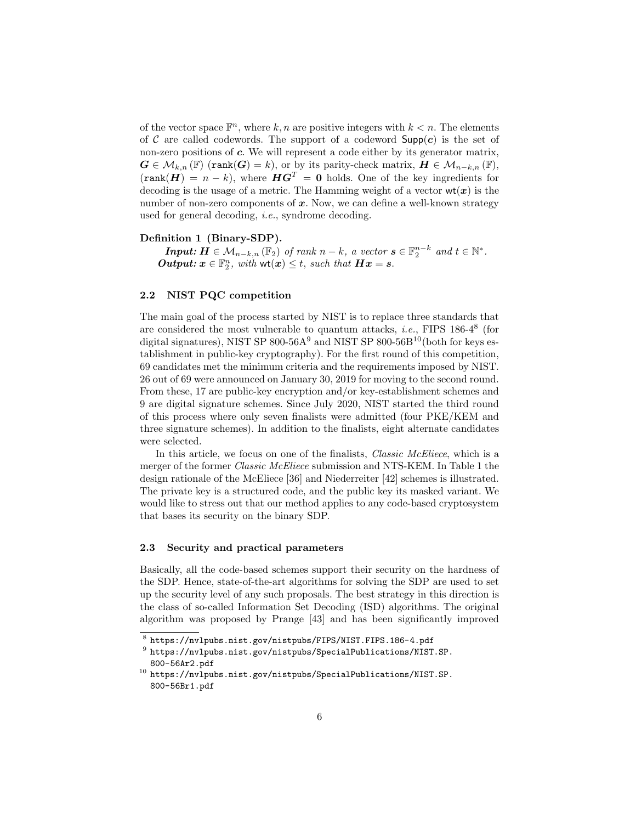of the vector space  $\mathbb{F}^n$ , where k, n are positive integers with  $k < n$ . The elements of C are called codewords. The support of a codeword  $\text{Supp}(c)$  is the set of non-zero positions of c. We will represent a code either by its generator matrix,  $G \in \mathcal{M}_{k,n}(\mathbb{F})$  (rank $(G) = k$ ), or by its parity-check matrix,  $H \in \mathcal{M}_{n-k,n}(\mathbb{F})$ ,  $(\text{rank}(\mathbf{H}) = n - k)$ , where  $\mathbf{H}\mathbf{G}^T = \mathbf{0}$  holds. One of the key ingredients for decoding is the usage of a metric. The Hamming weight of a vector  $wt(x)$  is the number of non-zero components of  $x$ . Now, we can define a well-known strategy used for general decoding, i.e., syndrome decoding.

#### Definition 1 (Binary-SDP).

**Input:**  $\mathbf{H} \in \mathcal{M}_{n-k,n}(\mathbb{F}_2)$  of rank  $n-k$ , a vector  $\mathbf{s} \in \mathbb{F}_2^{n-k}$  and  $t \in \mathbb{N}^*$ . **Output:**  $x \in \mathbb{F}_2^n$ , with  $wt(x) \leq t$ , such that  $Hx = s$ .

#### 2.2 NIST PQC competition

The main goal of the process started by NIST is to replace three standards that are considered the most vulnerable to quantum attacks, *i.e.*, FIPS 186-4<sup>8</sup> (for digital signatures), NIST SP 800-56A<sup>9</sup> and NIST SP 800-56B<sup>10</sup>(both for keys establishment in public-key cryptography). For the first round of this competition, 69 candidates met the minimum criteria and the requirements imposed by NIST. 26 out of 69 were announced on January 30, 2019 for moving to the second round. From these, 17 are public-key encryption and/or key-establishment schemes and 9 are digital signature schemes. Since July 2020, NIST started the third round of this process where only seven finalists were admitted (four PKE/KEM and three signature schemes). In addition to the finalists, eight alternate candidates were selected.

In this article, we focus on one of the finalists, *Classic McEliece*, which is a merger of the former *Classic McEliece* submission and NTS-KEM. In Table 1 the design rationale of the McEliece [36] and Niederreiter [42] schemes is illustrated. The private key is a structured code, and the public key its masked variant. We would like to stress out that our method applies to any code-based cryptosystem that bases its security on the binary SDP.

#### 2.3 Security and practical parameters

Basically, all the code-based schemes support their security on the hardness of the SDP. Hence, state-of-the-art algorithms for solving the SDP are used to set up the security level of any such proposals. The best strategy in this direction is the class of so-called Information Set Decoding (ISD) algorithms. The original algorithm was proposed by Prange [43] and has been significantly improved

<sup>8</sup> https://nvlpubs.nist.gov/nistpubs/FIPS/NIST.FIPS.186-4.pdf

 $^9$  https://nvlpubs.nist.gov/nistpubs/SpecialPublications/NIST.SP. 800-56Ar2.pdf

 $^{10}$ https://nvlpubs.nist.gov/nistpubs/SpecialPublications/NIST.SP. 800-56Br1.pdf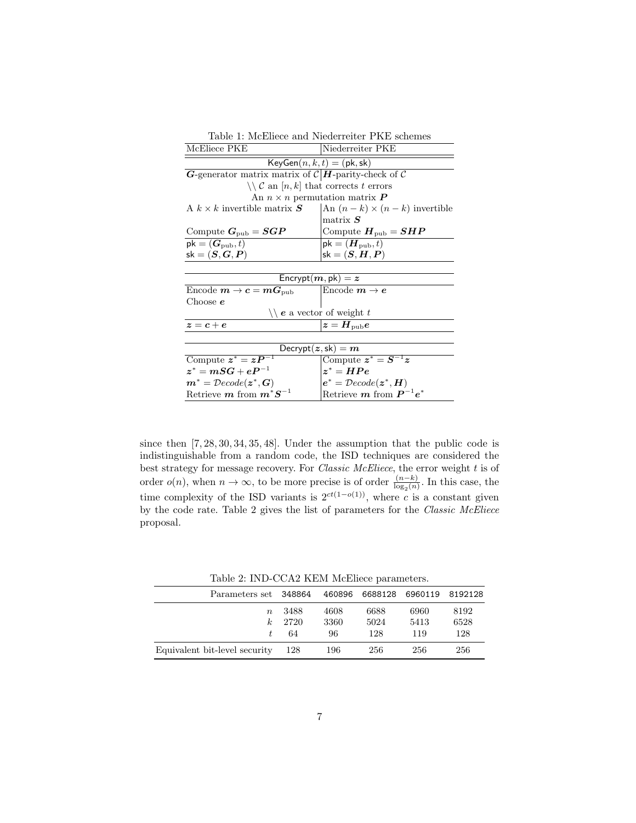|                                                                                                     | Table 1: McEliece and Niederreiter PKE schemes                     |
|-----------------------------------------------------------------------------------------------------|--------------------------------------------------------------------|
| McEliece PKE                                                                                        | Niederreiter PKE                                                   |
| $KeyGen(n, k, t) = (pk, sk)$                                                                        |                                                                    |
| G-generator matrix matrix of $\mathcal{C} \mathbf{H}$ -parity-check of $\mathcal{C}$                |                                                                    |
|                                                                                                     | $\setminus \mathcal{C}$ an $[n,k]$ that corrects t errors          |
|                                                                                                     | An $n \times n$ permutation matrix $\boldsymbol{P}$                |
| A $k \times k$ invertible matrix $S$                                                                | An $(n-k) \times (n-k)$ invertible                                 |
|                                                                                                     | matrix $S$                                                         |
| Compute $G_{\text{pub}} = SGP$                                                                      | Compute $H_{\text{pub}} = SHP$                                     |
| $pk = (G_{pub}, t)$                                                                                 | $pk = (H_{\text{pub}}, t)$                                         |
| $sk = (S, G, P)$                                                                                    | $sk = (S, H, P)$                                                   |
|                                                                                                     |                                                                    |
|                                                                                                     | $\mathsf{Encrypt}({\boldsymbol m}, \mathsf{pk}) = {\boldsymbol z}$ |
| Encode $m \to c = mG_{\text{pub}}$                                                                  | Encode $m \to e$                                                   |
| Choose $e$                                                                                          |                                                                    |
|                                                                                                     | $\setminus$ e a vector of weight t                                 |
| $z=c+e$                                                                                             | $\boldsymbol{z} = \boldsymbol{H}_{\mathrm{pub}} \boldsymbol{e}$    |
|                                                                                                     |                                                                    |
|                                                                                                     | $\mathsf{Decrypt}(\boldsymbol{z},\mathsf{sk}) = \boldsymbol{m}$    |
| Compute $z^* = zP^{-1}$                                                                             | Compute $z^* = \overline{S^{-1}z}$                                 |
| $\boldsymbol{z}^* = \boldsymbol{m}\boldsymbol{S}\boldsymbol{G} + \boldsymbol{e}\boldsymbol{P}^{-1}$ | $z^* = HPe$                                                        |
| $\boldsymbol{m}^* = \mathcal{D}ecode(\boldsymbol{z}^*, \boldsymbol{G})$                             | $e^* = \mathcal{D}ecode(z^*, H)$                                   |
| Retrieve m from $m^*S^{-1}$                                                                         | Retrieve m from $P^{-1}e^*$                                        |

since then [7, 28, 30, 34, 35, 48]. Under the assumption that the public code is indistinguishable from a random code, the ISD techniques are considered the best strategy for message recovery. For *Classic McEliece*, the error weight  $t$  is of order  $o(n)$ , when  $n \to \infty$ , to be more precise is of order  $\frac{(n-k)}{\log_2(n)}$ . In this case, the time complexity of the ISD variants is  $2^{ct(1-o(1))}$ , where c is a constant given by the code rate. Table 2 gives the list of parameters for the Classic McEliece proposal.

Table 2: IND-CCA2 KEM McEliece parameters.

| Parameters set 348864         |      |      | 460896 6688128 6960119 |      | 8192128 |
|-------------------------------|------|------|------------------------|------|---------|
| $\boldsymbol{n}$              | 3488 | 4608 | 6688                   | 6960 | 8192    |
| k.                            | 2720 | 3360 | 5024                   | 5413 | 6528    |
|                               | 64   | 96   | 128                    | 119  | 128     |
| Equivalent bit-level security | 128  | 196  | 256                    | 256  | 256     |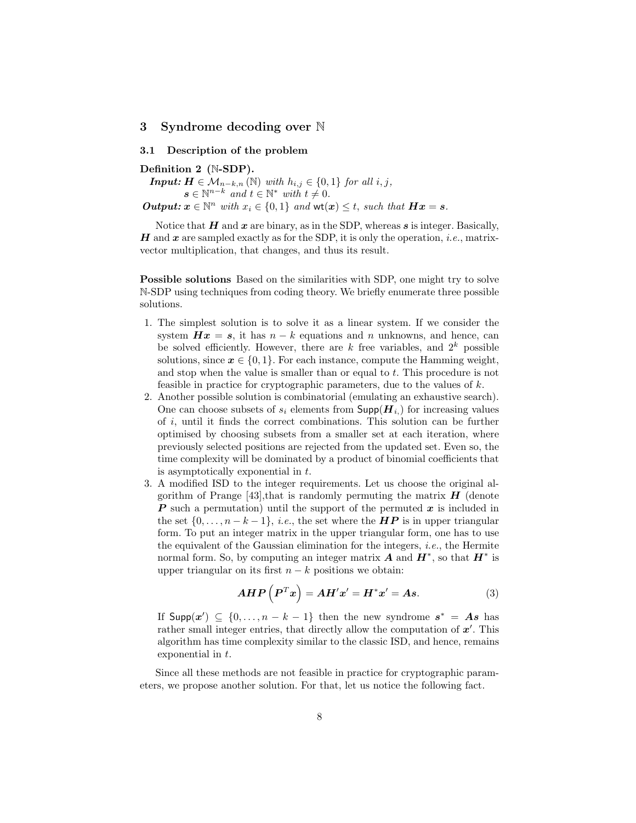## 3 Syndrome decoding over N

#### 3.1 Description of the problem

#### Definition 2 (N-SDP).

**Input:**  $\mathbf{H} \in \mathcal{M}_{n-k,n}(\mathbb{N})$  with  $h_{i,j} \in \{0,1\}$  for all  $i, j$ ,  $s \in \mathbb{N}^{n-k}$  and  $t \in \mathbb{N}^*$  with  $t \neq 0$ . **Output:**  $x \in \mathbb{N}^n$  with  $x_i \in \{0,1\}$  and  $\text{wt}(x) \leq t$ , such that  $Hx = s$ .

Notice that  $H$  and  $x$  are binary, as in the SDP, whereas  $s$  is integer. Basically,  $H$  and  $x$  are sampled exactly as for the SDP, it is only the operation, *i.e.*, matrixvector multiplication, that changes, and thus its result.

Possible solutions Based on the similarities with SDP, one might try to solve N-SDP using techniques from coding theory. We briefly enumerate three possible solutions.

- 1. The simplest solution is to solve it as a linear system. If we consider the system  $Hx = s$ , it has  $n - k$  equations and n unknowns, and hence, can be solved efficiently. However, there are k free variables, and  $2^k$  possible solutions, since  $x \in \{0, 1\}$ . For each instance, compute the Hamming weight, and stop when the value is smaller than or equal to t. This procedure is not feasible in practice for cryptographic parameters, due to the values of  $k$ .
- 2. Another possible solution is combinatorial (emulating an exhaustive search). One can choose subsets of  $s_i$  elements from  $\text{Supp}(\boldsymbol{H}_i)$  for increasing values of i, until it finds the correct combinations. This solution can be further optimised by choosing subsets from a smaller set at each iteration, where previously selected positions are rejected from the updated set. Even so, the time complexity will be dominated by a product of binomial coefficients that is asymptotically exponential in  $t$ .
- 3. A modified ISD to the integer requirements. Let us choose the original algorithm of Prange [43], that is randomly permuting the matrix  $\boldsymbol{H}$  (denote  $P$  such a permutation) until the support of the permuted  $x$  is included in the set  $\{0, \ldots, n-k-1\}$ , *i.e.*, the set where the **HP** is in upper triangular form. To put an integer matrix in the upper triangular form, one has to use the equivalent of the Gaussian elimination for the integers, i.e., the Hermite normal form. So, by computing an integer matrix  $A$  and  $H^*$ , so that  $H^*$  is upper triangular on its first  $n - k$  positions we obtain:

$$
AHP(PTx) = AH'x' = H^*x' = As.
$$
\n(3)

If  $\textsf{Supp}(x') \subseteq \{0,\ldots,n-k-1\}$  then the new syndrome  $s^* = As$  has rather small integer entries, that directly allow the computation of  $x'$ . This algorithm has time complexity similar to the classic ISD, and hence, remains exponential in t.

Since all these methods are not feasible in practice for cryptographic parameters, we propose another solution. For that, let us notice the following fact.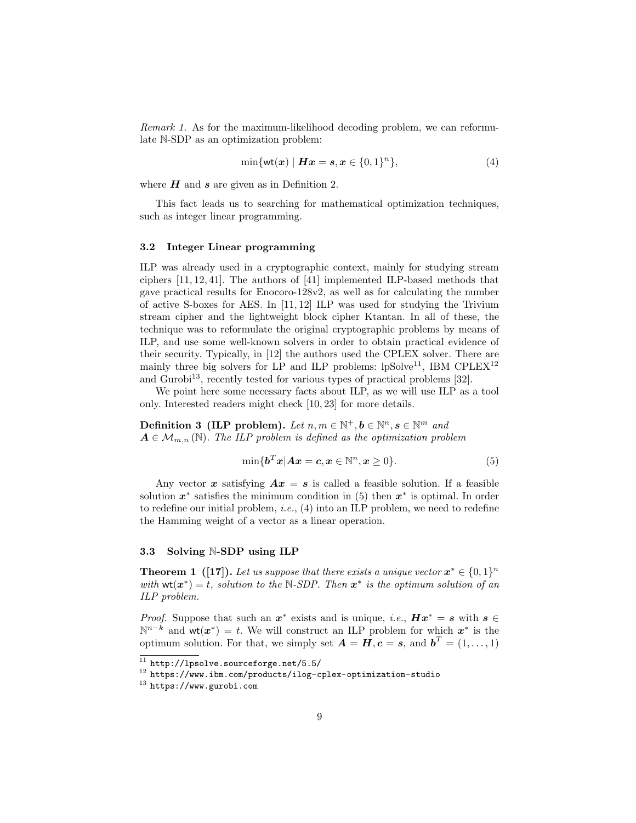Remark 1. As for the maximum-likelihood decoding problem, we can reformulate N-SDP as an optimization problem:

$$
\min\{\mathsf{wt}(\boldsymbol{x}) \mid \boldsymbol{H}\boldsymbol{x} = \boldsymbol{s}, \boldsymbol{x} \in \{0,1\}^n\},\tag{4}
$$

where  $H$  and  $s$  are given as in Definition 2.

This fact leads us to searching for mathematical optimization techniques, such as integer linear programming.

#### 3.2 Integer Linear programming

ILP was already used in a cryptographic context, mainly for studying stream ciphers [11, 12, 41]. The authors of [41] implemented ILP-based methods that gave practical results for Enocoro-128v2, as well as for calculating the number of active S-boxes for AES. In [11, 12] ILP was used for studying the Trivium stream cipher and the lightweight block cipher Ktantan. In all of these, the technique was to reformulate the original cryptographic problems by means of ILP, and use some well-known solvers in order to obtain practical evidence of their security. Typically, in [12] the authors used the CPLEX solver. There are mainly three big solvers for LP and ILP problems:  $lpSolve^{11}$ , IBM CPLEX<sup>12</sup> and Gurobi<sup>13</sup>, recently tested for various types of practical problems  $[32]$ .

We point here some necessary facts about ILP, as we will use ILP as a tool only. Interested readers might check [10, 23] for more details.

Definition 3 (ILP problem). Let  $n, m \in \mathbb{N}^+, b \in \mathbb{N}^n, s \in \mathbb{N}^m$  and  $A \in \mathcal{M}_{m,n}(\mathbb{N})$ . The ILP problem is defined as the optimization problem

$$
\min\{\boldsymbol{b}^T\boldsymbol{x}|\boldsymbol{A}\boldsymbol{x}=\boldsymbol{c},\boldsymbol{x}\in\mathbb{N}^n,\boldsymbol{x}\geq 0\}.\tag{5}
$$

Any vector x satisfying  $Ax = s$  is called a feasible solution. If a feasible solution  $x^*$  satisfies the minimum condition in (5) then  $x^*$  is optimal. In order to redefine our initial problem, *i.e.*,  $(4)$  into an ILP problem, we need to redefine the Hamming weight of a vector as a linear operation.

#### 3.3 Solving N-SDP using ILP

**Theorem 1** ([17]). Let us suppose that there exists a unique vector  $\mathbf{x}^* \in \{0,1\}^n$ with  $wt(x^*) = t$ , solution to the N-SDP. Then  $x^*$  is the optimum solution of an ILP problem.

*Proof.* Suppose that such an  $x^*$  exists and is unique, *i.e.*,  $Hx^* = s$  with  $s \in$  $\mathbb{N}^{n-k}$  and  $\mathsf{wt}(\boldsymbol{x}^*)=t$ . We will construct an ILP problem for which  $\boldsymbol{x}^*$  is the optimum solution. For that, we simply set  $\mathbf{A} = \mathbf{H}, \mathbf{c} = \mathbf{s}$ , and  $\mathbf{b}^T = (1, \ldots, 1)$ 

 $^{11}$  http://lpsolve.sourceforge.net/5.5/

<sup>12</sup> https://www.ibm.com/products/ilog-cplex-optimization-studio

<sup>13</sup> https://www.gurobi.com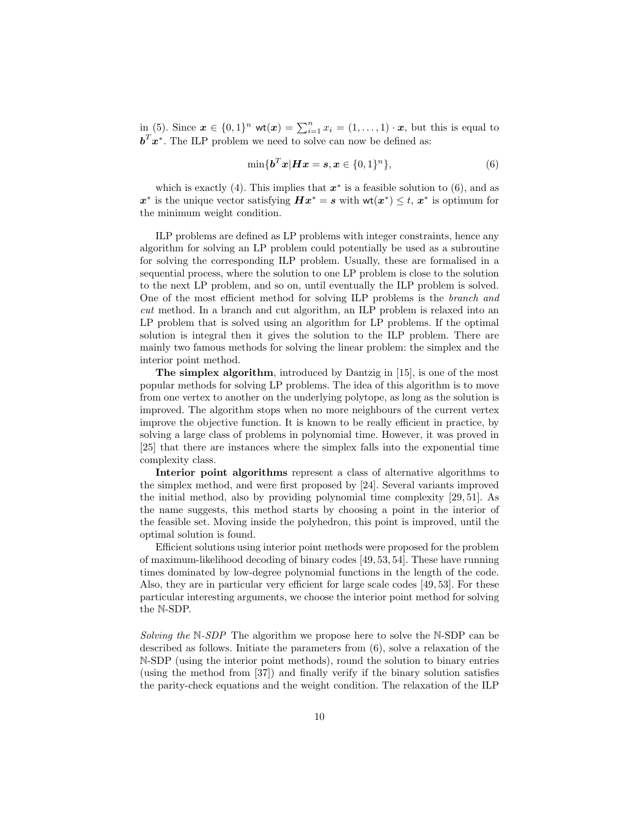in (5). Since  $\mathbf{x} \in \{0,1\}^n$  wt $(\mathbf{x}) = \sum_{i=1}^n x_i = (1,\ldots,1) \cdot \mathbf{x}$ , but this is equal to  $\boldsymbol{b}^T \boldsymbol{x}^*$ . The ILP problem we need to solve can now be defined as:

$$
\min\{\boldsymbol{b}^T\boldsymbol{x}|\boldsymbol{H}\boldsymbol{x}=\boldsymbol{s},\boldsymbol{x}\in\{0,1\}^n\},\tag{6}
$$

which is exactly (4). This implies that  $x^*$  is a feasible solution to (6), and as  $x^*$  is the unique vector satisfying  $Hx^* = s$  with  $\mathsf{wt}(x^*) \leq t, x^*$  is optimum for the minimum weight condition.

ILP problems are defined as LP problems with integer constraints, hence any algorithm for solving an LP problem could potentially be used as a subroutine for solving the corresponding ILP problem. Usually, these are formalised in a sequential process, where the solution to one LP problem is close to the solution to the next LP problem, and so on, until eventually the ILP problem is solved. One of the most efficient method for solving ILP problems is the branch and cut method. In a branch and cut algorithm, an ILP problem is relaxed into an LP problem that is solved using an algorithm for LP problems. If the optimal solution is integral then it gives the solution to the ILP problem. There are mainly two famous methods for solving the linear problem: the simplex and the interior point method.

The simplex algorithm, introduced by Dantzig in [15], is one of the most popular methods for solving LP problems. The idea of this algorithm is to move from one vertex to another on the underlying polytope, as long as the solution is improved. The algorithm stops when no more neighbours of the current vertex improve the objective function. It is known to be really efficient in practice, by solving a large class of problems in polynomial time. However, it was proved in [25] that there are instances where the simplex falls into the exponential time complexity class.

Interior point algorithms represent a class of alternative algorithms to the simplex method, and were first proposed by [24]. Several variants improved the initial method, also by providing polynomial time complexity [29, 51]. As the name suggests, this method starts by choosing a point in the interior of the feasible set. Moving inside the polyhedron, this point is improved, until the optimal solution is found.

Efficient solutions using interior point methods were proposed for the problem of maximum-likelihood decoding of binary codes [49, 53, 54]. These have running times dominated by low-degree polynomial functions in the length of the code. Also, they are in particular very efficient for large scale codes [49, 53]. For these particular interesting arguments, we choose the interior point method for solving the N-SDP.

Solving the N-SDP The algorithm we propose here to solve the N-SDP can be described as follows. Initiate the parameters from (6), solve a relaxation of the N-SDP (using the interior point methods), round the solution to binary entries (using the method from [37]) and finally verify if the binary solution satisfies the parity-check equations and the weight condition. The relaxation of the ILP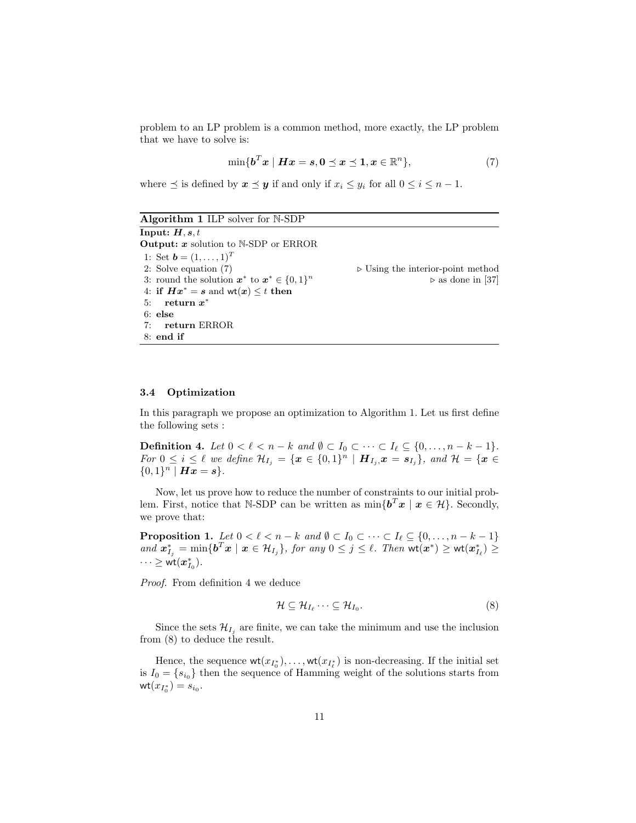problem to an LP problem is a common method, more exactly, the LP problem that we have to solve is:

$$
\min\{\boldsymbol{b}^T\boldsymbol{x} \mid \boldsymbol{H}\boldsymbol{x}=\boldsymbol{s}, \boldsymbol{0} \leq \boldsymbol{x} \leq \boldsymbol{1}, \boldsymbol{x} \in \mathbb{R}^n\},\tag{7}
$$

where  $\preceq$  is defined by  $x \preceq y$  if and only if  $x_i \leq y_i$  for all  $0 \leq i \leq n-1$ .

| Algorithm 1 ILP solver for N-SDP                   |                                                  |
|----------------------------------------------------|--------------------------------------------------|
| Input: $H, s, t$                                   |                                                  |
| <b>Output:</b> x solution to N-SDP or ERROR        |                                                  |
| 1: Set $\mathbf{b} = (1, \ldots, 1)^T$             |                                                  |
| 2: Solve equation $(7)$                            | $\triangleright$ Using the interior-point method |
| 3: round the solution $x^*$ to $x^* \in \{0,1\}^n$ | $\triangleright$ as done in [37]                 |
| 4: if $Hx^* = s$ and wt $(x) \leq t$ then          |                                                  |
| 5: return $x^*$                                    |                                                  |
| $6:$ else                                          |                                                  |
| return ERROR<br>7:                                 |                                                  |
| $8:$ end if                                        |                                                  |

#### 3.4 Optimization

In this paragraph we propose an optimization to Algorithm 1. Let us first define the following sets :

**Definition 4.** Let  $0 < \ell < n - k$  and  $\emptyset \subset I_0 \subset \cdots \subset I_\ell \subseteq \{0, \ldots, n - k - 1\}.$ For  $0 \leq i \leq \ell$  we define  $\mathcal{H}_{I_j} = \{ \boldsymbol{x} \in \{0,1\}^n \mid \boldsymbol{H}_{I_j}, \boldsymbol{x} = \boldsymbol{s}_{I_j} \}$ , and  $\mathcal{H} = \{ \boldsymbol{x} \in I_j \}$  ${0,1}<sup>n</sup> | Hx = s}.$ 

Now, let us prove how to reduce the number of constraints to our initial problem. First, notice that N-SDP can be written as  $\min\{\boldsymbol{b}^T\boldsymbol{x} \mid \boldsymbol{x} \in \mathcal{H}\}$ . Secondly, we prove that:

**Proposition 1.** Let  $0 < \ell < n - k$  and  $\emptyset \subset I_0 \subset \cdots \subset I_\ell \subseteq \{0, \ldots, n - k - 1\}$ and  $\mathbf{x}_{I_j}^* = \min\{\mathbf{b}^T\mathbf{x} \mid \mathbf{x} \in \mathcal{H}_{I_j}\},\$  for any  $0 \leq j \leq \ell$ . Then  $\textsf{wt}(\mathbf{x}^*) \geq \textsf{wt}(\mathbf{x}_{I_\ell}^*) \geq$  $\cdots \geq \mathsf{wt}(\boldsymbol{x}^*_{I_0}).$ 

Proof. From definition 4 we deduce

$$
\mathcal{H} \subseteq \mathcal{H}_{I_{\ell}} \cdots \subseteq \mathcal{H}_{I_0}.\tag{8}
$$

Since the sets  $\mathcal{H}_{I_i}$  are finite, we can take the minimum and use the inclusion from (8) to deduce the result.

Hence, the sequence  $\mathsf{wt}(x_{I_0^*}), \dots, \mathsf{wt}(x_{I_\ell^*})$  is non-decreasing. If the initial set is  $I_0 = \{s_{i_0}\}\$ then the sequence of Hamming weight of the solutions starts from  $\mathsf{wt}(x_{I_0^*}) = s_{i_0}.$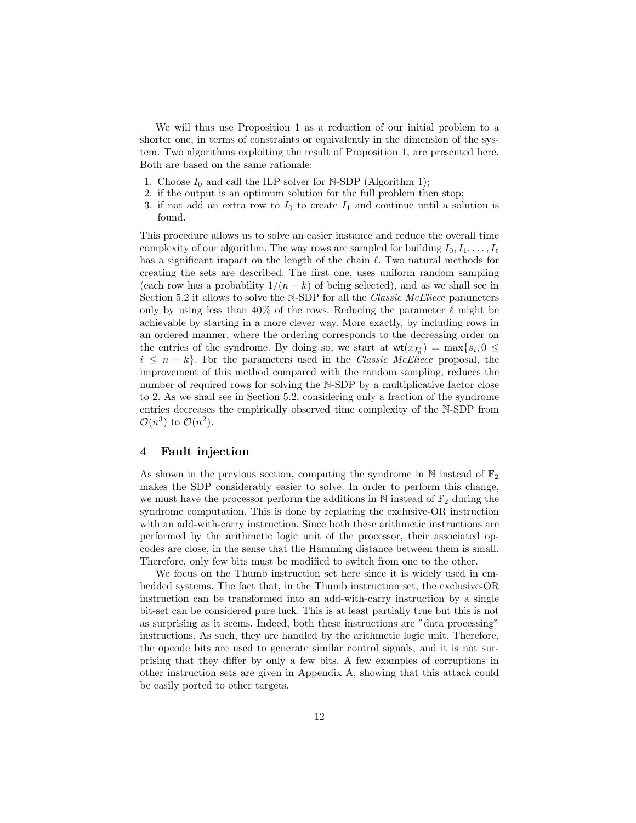We will thus use Proposition 1 as a reduction of our initial problem to a shorter one, in terms of constraints or equivalently in the dimension of the system. Two algorithms exploiting the result of Proposition 1, are presented here. Both are based on the same rationale:

- 1. Choose  $I_0$  and call the ILP solver for N-SDP (Algorithm 1);
- 2. if the output is an optimum solution for the full problem then stop;
- 3. if not add an extra row to  $I_0$  to create  $I_1$  and continue until a solution is found.

This procedure allows us to solve an easier instance and reduce the overall time complexity of our algorithm. The way rows are sampled for building  $I_0, I_1, \ldots, I_\ell$ has a significant impact on the length of the chain  $\ell$ . Two natural methods for creating the sets are described. The first one, uses uniform random sampling (each row has a probability  $1/(n - k)$  of being selected), and as we shall see in Section 5.2 it allows to solve the N-SDP for all the *Classic McEliece* parameters only by using less than 40% of the rows. Reducing the parameter  $\ell$  might be achievable by starting in a more clever way. More exactly, by including rows in an ordered manner, where the ordering corresponds to the decreasing order on the entries of the syndrome. By doing so, we start at  $\mathsf{wt}(x_{I_0^*}) = \max\{s_i, 0 \leq I_0\}$  $i \leq n - k$ . For the parameters used in the *Classic McEliece* proposal, the improvement of this method compared with the random sampling, reduces the number of required rows for solving the N-SDP by a multiplicative factor close to 2. As we shall see in Section 5.2, considering only a fraction of the syndrome entries decreases the empirically observed time complexity of the N-SDP from  $\mathcal{O}(n^3)$  to  $\mathcal{O}(n^2)$ .

## 4 Fault injection

As shown in the previous section, computing the syndrome in N instead of  $\mathbb{F}_2$ makes the SDP considerably easier to solve. In order to perform this change, we must have the processor perform the additions in  $\mathbb N$  instead of  $\mathbb F_2$  during the syndrome computation. This is done by replacing the exclusive-OR instruction with an add-with-carry instruction. Since both these arithmetic instructions are performed by the arithmetic logic unit of the processor, their associated opcodes are close, in the sense that the Hamming distance between them is small. Therefore, only few bits must be modified to switch from one to the other.

We focus on the Thumb instruction set here since it is widely used in embedded systems. The fact that, in the Thumb instruction set, the exclusive-OR instruction can be transformed into an add-with-carry instruction by a single bit-set can be considered pure luck. This is at least partially true but this is not as surprising as it seems. Indeed, both these instructions are "data processing" instructions. As such, they are handled by the arithmetic logic unit. Therefore, the opcode bits are used to generate similar control signals, and it is not surprising that they differ by only a few bits. A few examples of corruptions in other instruction sets are given in Appendix A, showing that this attack could be easily ported to other targets.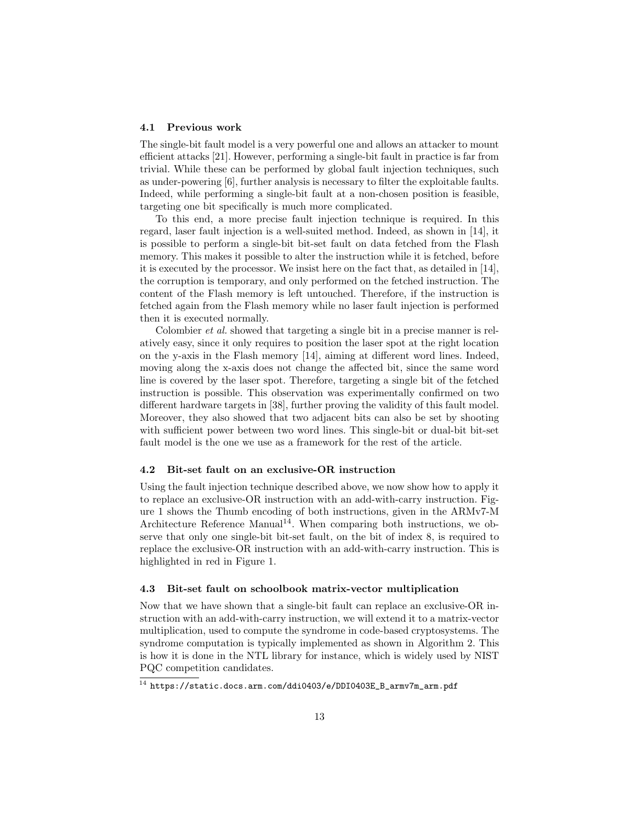#### 4.1 Previous work

The single-bit fault model is a very powerful one and allows an attacker to mount efficient attacks [21]. However, performing a single-bit fault in practice is far from trivial. While these can be performed by global fault injection techniques, such as under-powering [6], further analysis is necessary to filter the exploitable faults. Indeed, while performing a single-bit fault at a non-chosen position is feasible, targeting one bit specifically is much more complicated.

To this end, a more precise fault injection technique is required. In this regard, laser fault injection is a well-suited method. Indeed, as shown in [14], it is possible to perform a single-bit bit-set fault on data fetched from the Flash memory. This makes it possible to alter the instruction while it is fetched, before it is executed by the processor. We insist here on the fact that, as detailed in [14], the corruption is temporary, and only performed on the fetched instruction. The content of the Flash memory is left untouched. Therefore, if the instruction is fetched again from the Flash memory while no laser fault injection is performed then it is executed normally.

Colombier et al. showed that targeting a single bit in a precise manner is relatively easy, since it only requires to position the laser spot at the right location on the y-axis in the Flash memory [14], aiming at different word lines. Indeed, moving along the x-axis does not change the affected bit, since the same word line is covered by the laser spot. Therefore, targeting a single bit of the fetched instruction is possible. This observation was experimentally confirmed on two different hardware targets in [38], further proving the validity of this fault model. Moreover, they also showed that two adjacent bits can also be set by shooting with sufficient power between two word lines. This single-bit or dual-bit bit-set fault model is the one we use as a framework for the rest of the article.

#### 4.2 Bit-set fault on an exclusive-OR instruction

Using the fault injection technique described above, we now show how to apply it to replace an exclusive-OR instruction with an add-with-carry instruction. Figure 1 shows the Thumb encoding of both instructions, given in the ARMv7-M Architecture Reference Manual<sup>14</sup>. When comparing both instructions, we observe that only one single-bit bit-set fault, on the bit of index 8, is required to replace the exclusive-OR instruction with an add-with-carry instruction. This is highlighted in red in Figure 1.

#### 4.3 Bit-set fault on schoolbook matrix-vector multiplication

Now that we have shown that a single-bit fault can replace an exclusive-OR instruction with an add-with-carry instruction, we will extend it to a matrix-vector multiplication, used to compute the syndrome in code-based cryptosystems. The syndrome computation is typically implemented as shown in Algorithm 2. This is how it is done in the NTL library for instance, which is widely used by NIST PQC competition candidates.

 $14$  https://static.docs.arm.com/ddi0403/e/DDI0403E\_B\_armv7m\_arm.pdf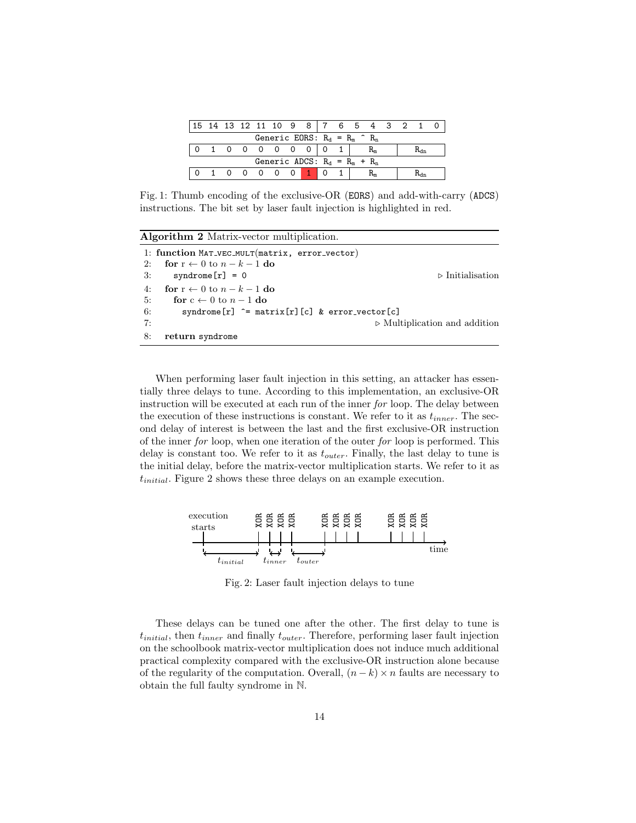|  |  |            | 15 14 13 12 11 10 9 8 7 6 5 4 3 2   |     |  |  |       |  |  |
|--|--|------------|-------------------------------------|-----|--|--|-------|--|--|
|  |  |            | Generic EORS: $R_d = R_m \hat{R}_n$ |     |  |  |       |  |  |
|  |  |            | 1000000                             |     |  |  |       |  |  |
|  |  |            | Generic ADCS: $R_d = R_m + R_n$     |     |  |  |       |  |  |
|  |  | $0\quad 0$ |                                     | - 0 |  |  | $R_m$ |  |  |

Fig. 1: Thumb encoding of the exclusive-OR (EORS) and add-with-carry (ADCS) instructions. The bit set by laser fault injection is highlighted in red.

|    | <b>Algorithm 2</b> Matrix-vector multiplication.     |                                              |
|----|------------------------------------------------------|----------------------------------------------|
|    | 1: function MAT_VEC_MULT(matrix, error_vector)       |                                              |
|    | 2: for $r \leftarrow 0$ to $n - k - 1$ do            |                                              |
| 3: | $symbol[r] = 0$                                      | $\triangleright$ Initialisation              |
| 4: | for $r \leftarrow 0$ to $n - k - 1$ do               |                                              |
| 5: | for $c \leftarrow 0$ to $n-1$ do                     |                                              |
| 6: | syndrome[r] $\hat{=}$ matrix[r][c] & error_vector[c] |                                              |
| 7: |                                                      | $\triangleright$ Multiplication and addition |
| 8: | return syndrome                                      |                                              |

When performing laser fault injection in this setting, an attacker has essentially three delays to tune. According to this implementation, an exclusive-OR instruction will be executed at each run of the inner for loop. The delay between the execution of these instructions is constant. We refer to it as  $t_{inner}$ . The second delay of interest is between the last and the first exclusive-OR instruction of the inner for loop, when one iteration of the outer for loop is performed. This delay is constant too. We refer to it as  $t_{outer}$ . Finally, the last delay to tune is the initial delay, before the matrix-vector multiplication starts. We refer to it as  $t_{initial}$ . Figure 2 shows these three delays on an example execution.



Fig. 2: Laser fault injection delays to tune

These delays can be tuned one after the other. The first delay to tune is  $t_{initial}$ , then  $t_{inner}$  and finally  $t_{outer}$ . Therefore, performing laser fault injection on the schoolbook matrix-vector multiplication does not induce much additional practical complexity compared with the exclusive-OR instruction alone because of the regularity of the computation. Overall,  $(n - k) \times n$  faults are necessary to obtain the full faulty syndrome in N.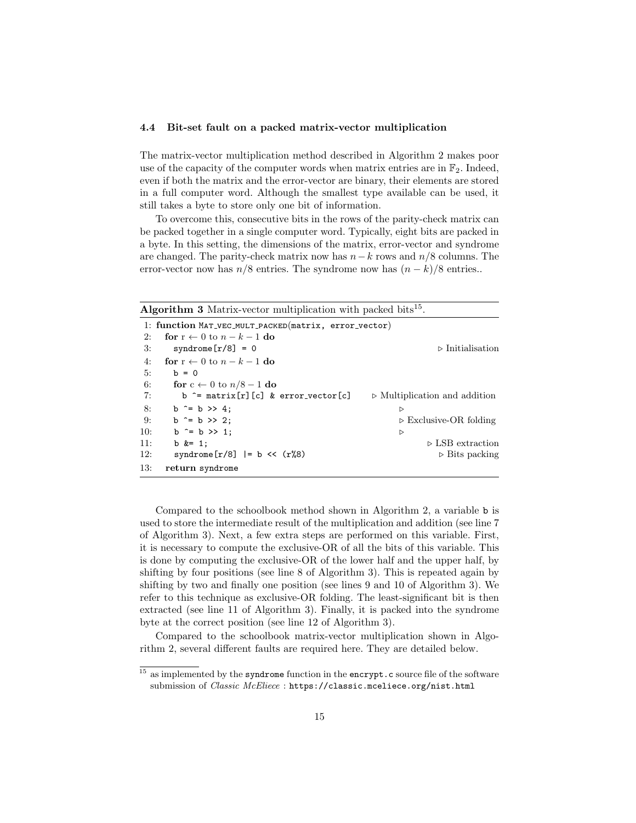#### 4.4 Bit-set fault on a packed matrix-vector multiplication

The matrix-vector multiplication method described in Algorithm 2 makes poor use of the capacity of the computer words when matrix entries are in  $\mathbb{F}_2$ . Indeed, even if both the matrix and the error-vector are binary, their elements are stored in a full computer word. Although the smallest type available can be used, it still takes a byte to store only one bit of information.

To overcome this, consecutive bits in the rows of the parity-check matrix can be packed together in a single computer word. Typically, eight bits are packed in a byte. In this setting, the dimensions of the matrix, error-vector and syndrome are changed. The parity-check matrix now has  $n-k$  rows and  $n/8$  columns. The error-vector now has  $n/8$  entries. The syndrome now has  $(n - k)/8$  entries..

|     | Algorithm 3 Matrix-vector multiplication with packed bits <sup>15</sup> . |                                              |
|-----|---------------------------------------------------------------------------|----------------------------------------------|
|     | 1: function MAT_VEC_MULT_PACKED(matrix, error_vector)                     |                                              |
| 2:  | for $r \leftarrow 0$ to $n - k - 1$ do                                    |                                              |
| 3:  | syndrome $[r/8] = 0$                                                      | $\triangleright$ Initialisation              |
| 4:  | for $r \leftarrow 0$ to $n - k - 1$ do                                    |                                              |
| 5:  | $b = 0$                                                                   |                                              |
| 6:  | for $c \leftarrow 0$ to $n/8 - 1$ do                                      |                                              |
| 7:  | b $\hat{z}$ = matrix[r][c] & error_vector[c]                              | $\triangleright$ Multiplication and addition |
| 8:  | $b \approx b \gg 4$ :                                                     | $\triangleright$                             |
| 9:  | $b \hat{=} b \gg 2$ ;                                                     | $\triangleright$ Exclusive-OR folding        |
| 10: | $b = b \gg 1$ ;                                                           | $\triangleright$                             |
| 11: | $b & = 1$ ;                                                               | $\triangleright$ LSB extraction              |
| 12: | syndrome $[r/8]$  = b << $(r\%)$                                          | $\triangleright$ Bits packing                |
| 13: | return syndrome                                                           |                                              |

Compared to the schoolbook method shown in Algorithm 2, a variable b is used to store the intermediate result of the multiplication and addition (see line 7 of Algorithm 3). Next, a few extra steps are performed on this variable. First, it is necessary to compute the exclusive-OR of all the bits of this variable. This is done by computing the exclusive-OR of the lower half and the upper half, by shifting by four positions (see line 8 of Algorithm 3). This is repeated again by shifting by two and finally one position (see lines 9 and 10 of Algorithm 3). We refer to this technique as exclusive-OR folding. The least-significant bit is then extracted (see line 11 of Algorithm 3). Finally, it is packed into the syndrome byte at the correct position (see line 12 of Algorithm 3).

Compared to the schoolbook matrix-vector multiplication shown in Algorithm 2, several different faults are required here. They are detailed below.

 $15$  as implemented by the syndrome function in the encrypt.c source file of the software submission of Classic McEliece: https://classic.mceliece.org/nist.html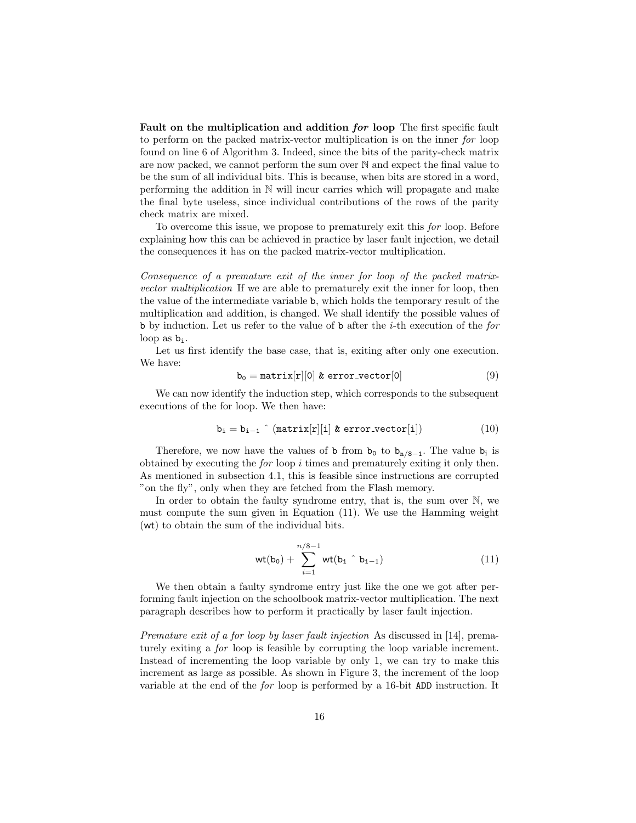Fault on the multiplication and addition for loop The first specific fault to perform on the packed matrix-vector multiplication is on the inner for loop found on line 6 of Algorithm 3. Indeed, since the bits of the parity-check matrix are now packed, we cannot perform the sum over N and expect the final value to be the sum of all individual bits. This is because, when bits are stored in a word, performing the addition in N will incur carries which will propagate and make the final byte useless, since individual contributions of the rows of the parity check matrix are mixed.

To overcome this issue, we propose to prematurely exit this for loop. Before explaining how this can be achieved in practice by laser fault injection, we detail the consequences it has on the packed matrix-vector multiplication.

Consequence of a premature exit of the inner for loop of the packed matrixvector multiplication If we are able to prematurely exit the inner for loop, then the value of the intermediate variable b, which holds the temporary result of the multiplication and addition, is changed. We shall identify the possible values of b by induction. Let us refer to the value of  $\mathbf b$  after the *i*-th execution of the *for* loop as  $b_i$ .

Let us first identify the base case, that is, exiting after only one execution. We have:

$$
b_0 = \text{matrix}[r][0] & \text{error\_vector}[0] \tag{9}
$$

We can now identify the induction step, which corresponds to the subsequent executions of the for loop. We then have:

$$
b_i = b_{i-1} \text{ ^ (matrix[r][i] & error\_vector[i])} \tag{10}
$$

Therefore, we now have the values of b from  $b_0$  to  $b_{n/8-1}$ . The value  $b_i$  is obtained by executing the *for* loop  $i$  times and prematurely exiting it only then. As mentioned in subsection 4.1, this is feasible since instructions are corrupted "on the fly", only when they are fetched from the Flash memory.

In order to obtain the faulty syndrome entry, that is, the sum over N, we must compute the sum given in Equation (11). We use the Hamming weight (wt) to obtain the sum of the individual bits.

$$
wt(b_0) + \sum_{i=1}^{n/8-1} wt(b_i \upharpoonright b_{i-1})
$$
\n(11)

We then obtain a faulty syndrome entry just like the one we got after performing fault injection on the schoolbook matrix-vector multiplication. The next paragraph describes how to perform it practically by laser fault injection.

Premature exit of a for loop by laser fault injection As discussed in [14], prematurely exiting a for loop is feasible by corrupting the loop variable increment. Instead of incrementing the loop variable by only 1, we can try to make this increment as large as possible. As shown in Figure 3, the increment of the loop variable at the end of the for loop is performed by a 16-bit ADD instruction. It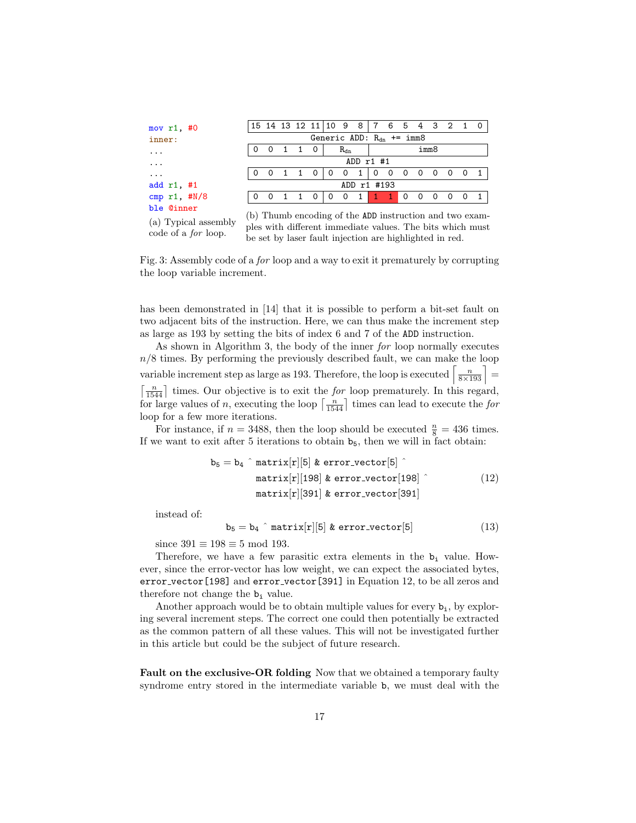| mov r1, #0         |                                                            |            |     |     | 15 14 13 12 11 10 9 8 7 6 5 4 3 2 1 0 |          |             |  |  |                   |            |             |
|--------------------|------------------------------------------------------------|------------|-----|-----|---------------------------------------|----------|-------------|--|--|-------------------|------------|-------------|
| inner:             |                                                            |            |     |     | Generic ADD: $R_{dn}$ += imm8         |          |             |  |  |                   |            |             |
| $\cdots$           |                                                            | 0          | 110 |     |                                       | $R_{dn}$ |             |  |  | imm8              |            |             |
| .                  |                                                            |            |     |     |                                       |          | ADD $r1$ #1 |  |  |                   |            |             |
| $\cdots$           |                                                            | 0 1 1 0 0  |     |     |                                       |          |             |  |  | 0 1   0 0 0 0 0 0 |            | $0 \quad 1$ |
| add $r1$ , #1      |                                                            |            |     |     |                                       |          | ADD r1 #193 |  |  |                   |            |             |
| cmp $r1$ , $\#N/8$ |                                                            | $0\quad 1$ |     | 1 0 | 0 0 1 <mark>1 1</mark> 1 0 0 0 0      |          |             |  |  |                   | $0\quad 1$ |             |
| ble @inner         | $(1 \wedge T \square 1 \cdots 1)$ $(1 \wedge T \square 1)$ |            |     |     |                                       |          |             |  |  |                   |            |             |

(a) Typical assembly code of a for loop.



Fig. 3: Assembly code of a for loop and a way to exit it prematurely by corrupting the loop variable increment.

has been demonstrated in [14] that it is possible to perform a bit-set fault on two adjacent bits of the instruction. Here, we can thus make the increment step as large as 193 by setting the bits of index 6 and 7 of the ADD instruction.

As shown in Algorithm 3, the body of the inner for loop normally executes  $n/8$  times. By performing the previously described fault, we can make the loop variable increment step as large as 193. Therefore, the loop is executed  $\left\lceil \frac{n}{8 \times 193} \right\rceil =$  $\lceil \frac{n}{1544} \rceil$  times. Our objective is to exit the *for* loop prematurely. In this regard, for large values of *n*, executing the loop  $\left\lceil \frac{n}{1544} \right\rceil$  times can lead to execute the *for* loop for a few more iterations.

For instance, if  $n = 3488$ , then the loop should be executed  $\frac{n}{8} = 436$  times. If we want to exit after 5 iterations to obtain  $b_5$ , then we will in fact obtain:

$$
b_5 = b_4 \text{ 'matrix[r][5] } & \text{error\_vector}[5] \text{ '}
$$
\n
$$
\text{matrix[r][198] } & \text{error\_vector}[198] \text{ '}
$$
\n
$$
\text{matrix[r][391] } & \text{error\_vector}[391] \text{ }
$$
\n
$$
(12)
$$

instead of:

$$
b_5 = b_4 \quad \text{matrix}[r][5] \& \text{error\_vector}[5] \tag{13}
$$

since  $391 \equiv 198 \equiv 5 \mod 193$ .

Therefore, we have a few parasitic extra elements in the  $b_i$  value. However, since the error-vector has low weight, we can expect the associated bytes, error\_vector[198] and error\_vector[391] in Equation 12, to be all zeros and therefore not change the  $b_i$  value.

Another approach would be to obtain multiple values for every  $b_i$ , by exploring several increment steps. The correct one could then potentially be extracted as the common pattern of all these values. This will not be investigated further in this article but could be the subject of future research.

Fault on the exclusive-OR folding Now that we obtained a temporary faulty syndrome entry stored in the intermediate variable b, we must deal with the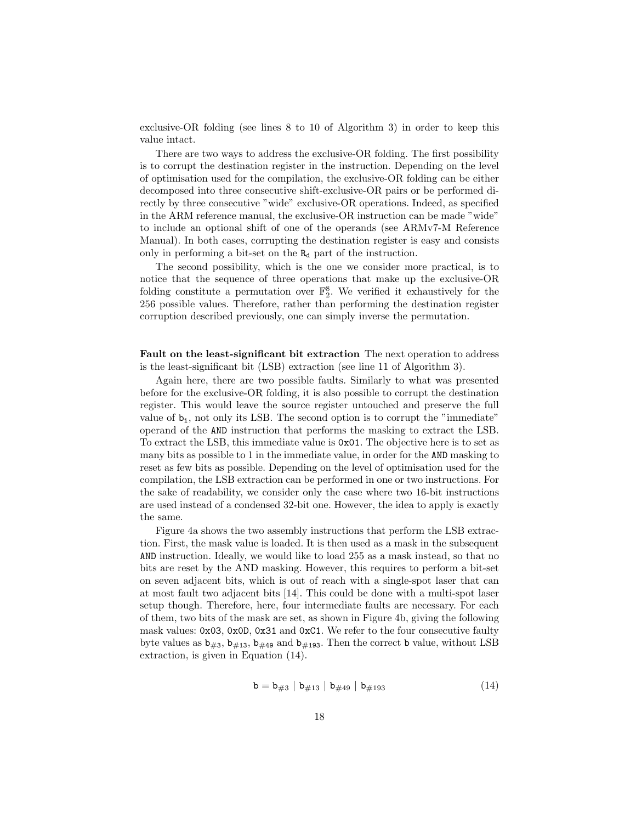exclusive-OR folding (see lines 8 to 10 of Algorithm 3) in order to keep this value intact.

There are two ways to address the exclusive-OR folding. The first possibility is to corrupt the destination register in the instruction. Depending on the level of optimisation used for the compilation, the exclusive-OR folding can be either decomposed into three consecutive shift-exclusive-OR pairs or be performed directly by three consecutive "wide" exclusive-OR operations. Indeed, as specified in the ARM reference manual, the exclusive-OR instruction can be made "wide" to include an optional shift of one of the operands (see ARMv7-M Reference Manual). In both cases, corrupting the destination register is easy and consists only in performing a bit-set on the  $R_d$  part of the instruction.

The second possibility, which is the one we consider more practical, is to notice that the sequence of three operations that make up the exclusive-OR folding constitute a permutation over  $\mathbb{F}_2^8$ . We verified it exhaustively for the 256 possible values. Therefore, rather than performing the destination register corruption described previously, one can simply inverse the permutation.

Fault on the least-significant bit extraction The next operation to address is the least-significant bit (LSB) extraction (see line 11 of Algorithm 3).

Again here, there are two possible faults. Similarly to what was presented before for the exclusive-OR folding, it is also possible to corrupt the destination register. This would leave the source register untouched and preserve the full value of  $b_i$ , not only its LSB. The second option is to corrupt the "immediate" operand of the AND instruction that performs the masking to extract the LSB. To extract the LSB, this immediate value is 0x01. The objective here is to set as many bits as possible to 1 in the immediate value, in order for the AND masking to reset as few bits as possible. Depending on the level of optimisation used for the compilation, the LSB extraction can be performed in one or two instructions. For the sake of readability, we consider only the case where two 16-bit instructions are used instead of a condensed 32-bit one. However, the idea to apply is exactly the same.

Figure 4a shows the two assembly instructions that perform the LSB extraction. First, the mask value is loaded. It is then used as a mask in the subsequent AND instruction. Ideally, we would like to load 255 as a mask instead, so that no bits are reset by the AND masking. However, this requires to perform a bit-set on seven adjacent bits, which is out of reach with a single-spot laser that can at most fault two adjacent bits [14]. This could be done with a multi-spot laser setup though. Therefore, here, four intermediate faults are necessary. For each of them, two bits of the mask are set, as shown in Figure 4b, giving the following mask values: 0x03, 0x0D, 0x31 and 0xC1. We refer to the four consecutive faulty byte values as  $b_{\#3}$ ,  $b_{\#43}$ ,  $b_{\#49}$  and  $b_{\#193}$ . Then the correct b value, without LSB extraction, is given in Equation (14).

$$
\mathbf{b} = \mathbf{b}_{\#3} \mid \mathbf{b}_{\#13} \mid \mathbf{b}_{\#49} \mid \mathbf{b}_{\#193} \tag{14}
$$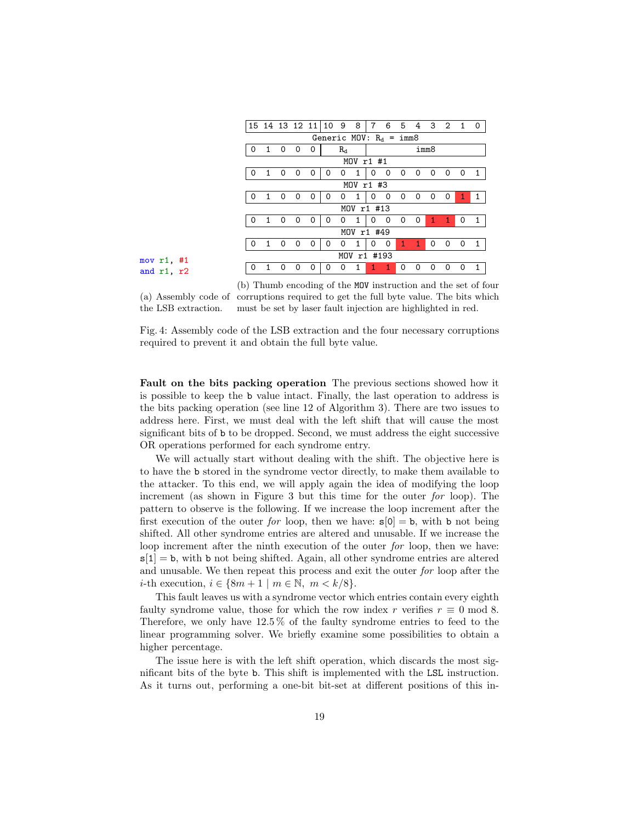|   | 15 14 13 12 11 10 |   |          |          |                           | - 9                                                     | 8           | 7       | 6        | 5        | 4        | $\mathbf{3}$ | $\overline{2}$ | $\mathbf{1}$ | 0 |
|---|-------------------|---|----------|----------|---------------------------|---------------------------------------------------------|-------------|---------|----------|----------|----------|--------------|----------------|--------------|---|
|   |                   |   |          |          | Generic MOV: $R_d = imm8$ |                                                         |             |         |          |          |          |              |                |              |   |
| 0 | 1                 | 0 | 0        | 0        |                           | $R_d$                                                   |             |         |          |          |          | imm8         |                |              |   |
|   |                   |   |          |          |                           |                                                         | <b>MOV</b>  | $r1$ #1 |          |          |          |              |                |              |   |
| 0 | 1                 | 0 | 0        | 0        | 0                         | 0                                                       | 1           | Ω       | 0        | 0        | $\Omega$ | 0            | 0              | $\Omega$     | 1 |
|   |                   |   |          |          |                           |                                                         | MOV r1 #3   |         |          |          |          |              |                |              |   |
| 0 | 1                 | 0 | 0        | $\Omega$ | 0                         | 0                                                       |             | 0       | 0        | $\Omega$ | $\Omega$ | $\Omega$     | 0              | 1            | 1 |
|   |                   |   |          |          |                           | MOV                                                     |             | r1 #13  |          |          |          |              |                |              |   |
| 0 | 1                 | 0 | 0        | 0        | $\Omega$                  | 0<br>$\Omega$<br>$\Omega$<br>1<br>1<br>0<br>0<br>1<br>0 |             |         |          |          |          |              |                |              | 1 |
|   |                   |   |          |          |                           | <b>MOV</b>                                              |             | r1 #49  |          |          |          |              |                |              |   |
| 0 | 1                 | 0 | $\Omega$ | 0        | $\Omega$                  | 0                                                       | 1           | 0       | $\Omega$ | 1        | 1        | 0            | $\Omega$       | $\Omega$     | 1 |
|   |                   |   |          |          |                           |                                                         | MOV r1 #193 |         |          |          |          |              |                |              |   |
| 0 |                   | ∩ | ∩        | ∩        | 0                         | 0                                                       |             | 1       | 1        | 0        |          | ∩            | ∩              | O            | 1 |

mov r1, #1 and r1, r2

(a) Assembly code of corruptions required to get the full byte value. The bits which the LSB extraction. (b) Thumb encoding of the MOV instruction and the set of four must be set by laser fault injection are highlighted in red.

Fig. 4: Assembly code of the LSB extraction and the four necessary corruptions required to prevent it and obtain the full byte value.

Fault on the bits packing operation The previous sections showed how it is possible to keep the b value intact. Finally, the last operation to address is the bits packing operation (see line 12 of Algorithm 3). There are two issues to address here. First, we must deal with the left shift that will cause the most significant bits of b to be dropped. Second, we must address the eight successive OR operations performed for each syndrome entry.

We will actually start without dealing with the shift. The objective here is to have the b stored in the syndrome vector directly, to make them available to the attacker. To this end, we will apply again the idea of modifying the loop increment (as shown in Figure 3 but this time for the outer for loop). The pattern to observe is the following. If we increase the loop increment after the first execution of the outer for loop, then we have:  $s[0] = b$ , with b not being shifted. All other syndrome entries are altered and unusable. If we increase the loop increment after the ninth execution of the outer for loop, then we have:  $s[1] = b$ , with b not being shifted. Again, all other syndrome entries are altered and unusable. We then repeat this process and exit the outer for loop after the *i*-th execution,  $i \in \{8m+1 \mid m \in \mathbb{N}, m < k/8\}.$ 

This fault leaves us with a syndrome vector which entries contain every eighth faulty syndrome value, those for which the row index r verifies  $r \equiv 0 \mod 8$ . Therefore, we only have  $12.5\%$  of the faulty syndrome entries to feed to the linear programming solver. We briefly examine some possibilities to obtain a higher percentage.

The issue here is with the left shift operation, which discards the most significant bits of the byte b. This shift is implemented with the LSL instruction. As it turns out, performing a one-bit bit-set at different positions of this in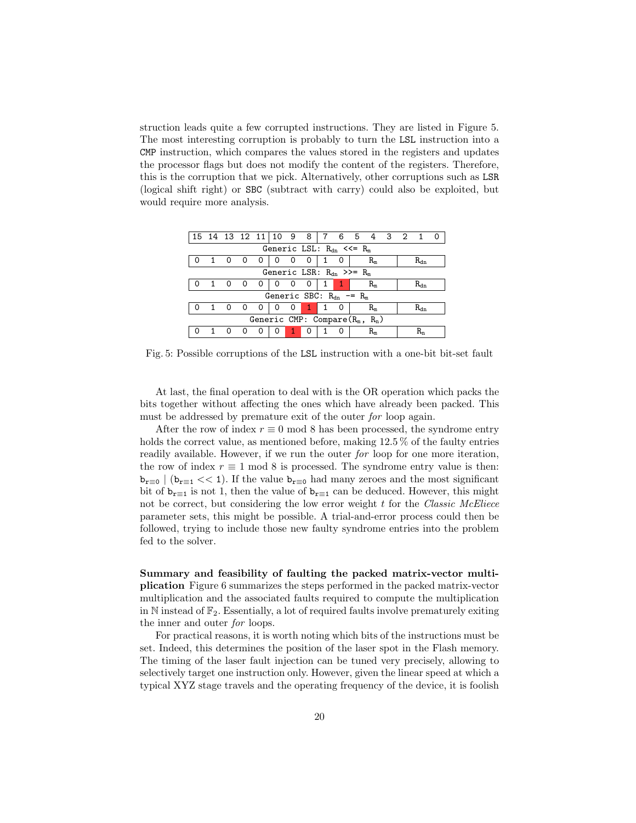struction leads quite a few corrupted instructions. They are listed in Figure 5. The most interesting corruption is probably to turn the LSL instruction into a CMP instruction, which compares the values stored in the registers and updates the processor flags but does not modify the content of the registers. Therefore, this is the corruption that we pick. Alternatively, other corruptions such as LSR (logical shift right) or SBC (subtract with carry) could also be exploited, but would require more analysis.

|     |              |                         |                |                |                  |              | 15 14 13 12 11 10 9 8 7 6 5 4 3 2 1 |      |   |       |  |          | $\Omega$ |
|-----|--------------|-------------------------|----------------|----------------|------------------|--------------|-------------------------------------|------|---|-------|--|----------|----------|
|     |              |                         |                |                |                  |              | Generic LSL: $R_{dn}$ <<= $R_m$     |      |   |       |  |          |          |
|     |              | 0                       | - 0            | 0              | 0                | $0\quad 0$   |                                     |      |   | $R_m$ |  | $R_{dn}$ |          |
|     |              |                         |                |                |                  |              | Generic LSR: $R_{dn}$ >>= $R_m$     |      |   |       |  |          |          |
|     |              | $\Omega$                | - 0            |                | 0                | $0\quad 0$   |                                     |      |   | $R_m$ |  | $R_{dn}$ |          |
|     |              |                         |                |                |                  |              | Generic SBC: $R_{dn}$ -= $R_m$      |      |   |       |  |          |          |
| - 0 | $\mathbf{1}$ | $\overline{\mathbf{0}}$ | $\overline{0}$ | 0 <sup>1</sup> | $0 \quad 0 \mid$ |              | $\bullet$                           | $+1$ | 0 | $R_m$ |  | $R_{dn}$ |          |
|     |              |                         |                |                |                  |              | Generic CMP: Compare $(R_m, R_n)$   |      |   |       |  |          |          |
| 0   |              |                         | 0              |                | 0                | $\mathbf{1}$ | 0                                   |      |   | $R_m$ |  |          |          |

Fig. 5: Possible corruptions of the LSL instruction with a one-bit bit-set fault

At last, the final operation to deal with is the OR operation which packs the bits together without affecting the ones which have already been packed. This must be addressed by premature exit of the outer *for* loop again.

After the row of index  $r \equiv 0 \mod 8$  has been processed, the syndrome entry holds the correct value, as mentioned before, making  $12.5\%$  of the faulty entries readily available. However, if we run the outer for loop for one more iteration, the row of index  $r \equiv 1 \mod 8$  is processed. The syndrome entry value is then:  $b_{r≡0}$  | ( $b_{r≡1}$  << 1). If the value  $b_{r≡0}$  had many zeroes and the most significant bit of  $b_{r≡1}$  is not 1, then the value of  $b_{r≡1}$  can be deduced. However, this might not be correct, but considering the low error weight  $t$  for the *Classic McEliece* parameter sets, this might be possible. A trial-and-error process could then be followed, trying to include those new faulty syndrome entries into the problem fed to the solver.

Summary and feasibility of faulting the packed matrix-vector multiplication Figure 6 summarizes the steps performed in the packed matrix-vector multiplication and the associated faults required to compute the multiplication in  $\mathbb N$  instead of  $\mathbb F_2$ . Essentially, a lot of required faults involve prematurely exiting the inner and outer for loops.

For practical reasons, it is worth noting which bits of the instructions must be set. Indeed, this determines the position of the laser spot in the Flash memory. The timing of the laser fault injection can be tuned very precisely, allowing to selectively target one instruction only. However, given the linear speed at which a typical XYZ stage travels and the operating frequency of the device, it is foolish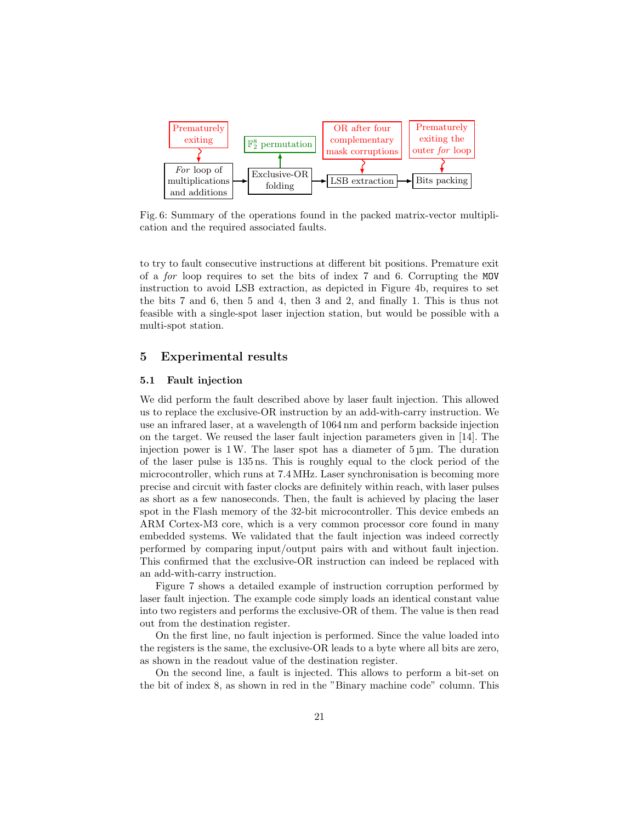

Fig. 6: Summary of the operations found in the packed matrix-vector multiplication and the required associated faults.

to try to fault consecutive instructions at different bit positions. Premature exit of a for loop requires to set the bits of index 7 and 6. Corrupting the MOV instruction to avoid LSB extraction, as depicted in Figure 4b, requires to set the bits 7 and 6, then 5 and 4, then 3 and 2, and finally 1. This is thus not feasible with a single-spot laser injection station, but would be possible with a multi-spot station.

## 5 Experimental results

## 5.1 Fault injection

We did perform the fault described above by laser fault injection. This allowed us to replace the exclusive-OR instruction by an add-with-carry instruction. We use an infrared laser, at a wavelength of 1064 nm and perform backside injection on the target. We reused the laser fault injection parameters given in [14]. The injection power is  $1 \text{ W}$ . The laser spot has a diameter of  $5 \mu \text{m}$ . The duration of the laser pulse is 135 ns. This is roughly equal to the clock period of the microcontroller, which runs at 7.4 MHz. Laser synchronisation is becoming more precise and circuit with faster clocks are definitely within reach, with laser pulses as short as a few nanoseconds. Then, the fault is achieved by placing the laser spot in the Flash memory of the 32-bit microcontroller. This device embeds an ARM Cortex-M3 core, which is a very common processor core found in many embedded systems. We validated that the fault injection was indeed correctly performed by comparing input/output pairs with and without fault injection. This confirmed that the exclusive-OR instruction can indeed be replaced with an add-with-carry instruction.

Figure 7 shows a detailed example of instruction corruption performed by laser fault injection. The example code simply loads an identical constant value into two registers and performs the exclusive-OR of them. The value is then read out from the destination register.

On the first line, no fault injection is performed. Since the value loaded into the registers is the same, the exclusive-OR leads to a byte where all bits are zero, as shown in the readout value of the destination register.

On the second line, a fault is injected. This allows to perform a bit-set on the bit of index 8, as shown in red in the "Binary machine code" column. This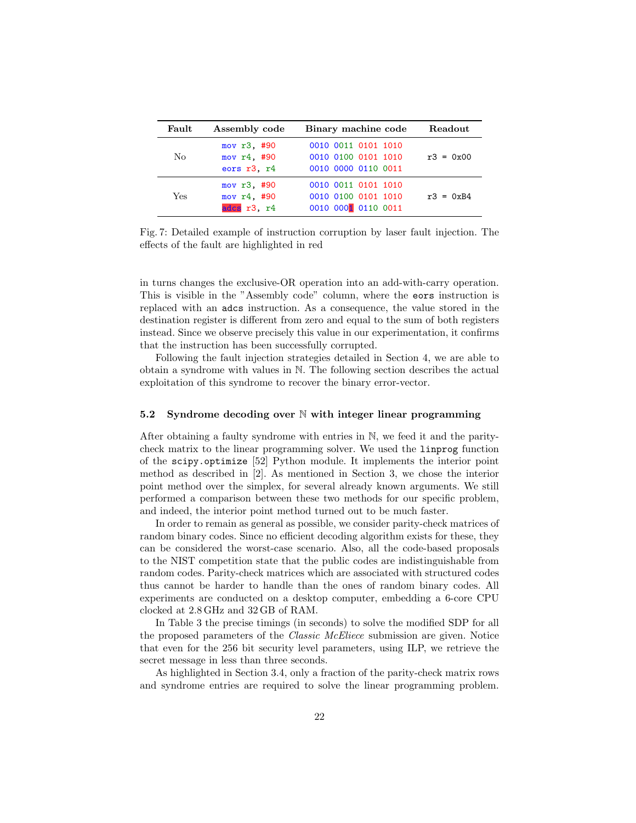| Fault | Assembly code    | Binary machine code | Readout     |
|-------|------------------|---------------------|-------------|
|       | mov $r3$ , $#90$ | 0010 0011 0101 1010 |             |
| No    | mov $r4$ , #90   | 0010 0100 0101 1010 | $r3 = 0x00$ |
|       | eors r3, r4      | 0010 0000 0110 0011 |             |
|       | mov $r3$ , $#90$ | 0010 0011 0101 1010 |             |
| Yes   | mov r4, #90      | 0010 0100 0101 1010 | $r3 = 0xB4$ |
|       | adcs r3, r4      | 0010 0001 0110 0011 |             |

Fig. 7: Detailed example of instruction corruption by laser fault injection. The effects of the fault are highlighted in red

in turns changes the exclusive-OR operation into an add-with-carry operation. This is visible in the "Assembly code" column, where the eors instruction is replaced with an adcs instruction. As a consequence, the value stored in the destination register is different from zero and equal to the sum of both registers instead. Since we observe precisely this value in our experimentation, it confirms that the instruction has been successfully corrupted.

Following the fault injection strategies detailed in Section 4, we are able to obtain a syndrome with values in N. The following section describes the actual exploitation of this syndrome to recover the binary error-vector.

#### 5.2 Syndrome decoding over  $\mathbb N$  with integer linear programming

After obtaining a faulty syndrome with entries in N, we feed it and the paritycheck matrix to the linear programming solver. We used the linprog function of the scipy.optimize [52] Python module. It implements the interior point method as described in [2]. As mentioned in Section 3, we chose the interior point method over the simplex, for several already known arguments. We still performed a comparison between these two methods for our specific problem, and indeed, the interior point method turned out to be much faster.

In order to remain as general as possible, we consider parity-check matrices of random binary codes. Since no efficient decoding algorithm exists for these, they can be considered the worst-case scenario. Also, all the code-based proposals to the NIST competition state that the public codes are indistinguishable from random codes. Parity-check matrices which are associated with structured codes thus cannot be harder to handle than the ones of random binary codes. All experiments are conducted on a desktop computer, embedding a 6-core CPU clocked at 2.8 GHz and 32 GB of RAM.

In Table 3 the precise timings (in seconds) to solve the modified SDP for all the proposed parameters of the Classic McEliece submission are given. Notice that even for the 256 bit security level parameters, using ILP, we retrieve the secret message in less than three seconds.

As highlighted in Section 3.4, only a fraction of the parity-check matrix rows and syndrome entries are required to solve the linear programming problem.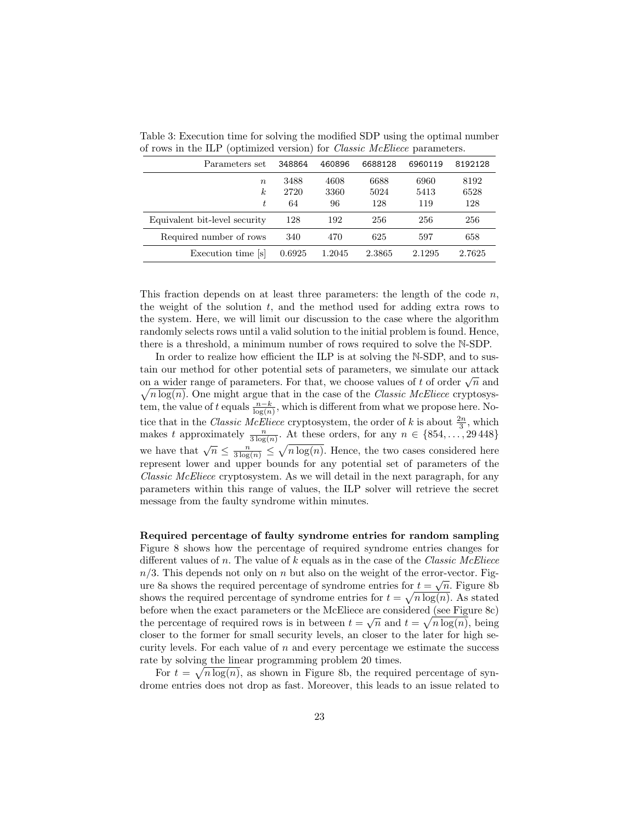| Parameters set                            | 348864             | 460896             | 6688128             | 6960119             | 8192128             |
|-------------------------------------------|--------------------|--------------------|---------------------|---------------------|---------------------|
| $\boldsymbol{n}$<br>$\boldsymbol{k}$<br>t | 3488<br>2720<br>64 | 4608<br>3360<br>96 | 6688<br>5024<br>128 | 6960<br>5413<br>119 | 8192<br>6528<br>128 |
| Equivalent bit-level security             | 128                | 192                | 256                 | 256                 | 256                 |
| Required number of rows                   | 340                | 470                | 625                 | 597                 | 658                 |
| Execution time s                          | 0.6925             | 1.2045             | 2.3865              | 2.1295              | 2.7625              |

Table 3: Execution time for solving the modified SDP using the optimal number of rows in the ILP (optimized version) for Classic McEliece parameters.

This fraction depends on at least three parameters: the length of the code  $n$ , the weight of the solution  $t$ , and the method used for adding extra rows to the system. Here, we will limit our discussion to the case where the algorithm randomly selects rows until a valid solution to the initial problem is found. Hence, there is a threshold, a minimum number of rows required to solve the N-SDP.

In order to realize how efficient the ILP is at solving the N-SDP, and to sustain our method for other potential sets of parameters, we simulate our attack can but method for other potential sets of parameters, we simulate our attack<br>on a wider range of parameters. For that, we choose values of t of order  $\sqrt{n}$  and  $\sqrt{n \log(n)}$ . One might argue that in the case of the *Classic McEliece* cryptosystem, the value of t equals  $\frac{n-k}{\log(n)}$ , which is different from what we propose here. Notice that in the *Classic McEliece* cryptosystem, the order of k is about  $\frac{2n}{3}$ , which makes t approximately  $\frac{n}{3 \log(n)}$ . At these orders, for any  $n \in \{854, \ldots, 29448\}$ we have that  $\sqrt{n} \leq \frac{n}{3 \log(n)} \leq \sqrt{n \log(n)}$ . Hence, the two cases considered here represent lower and upper bounds for any potential set of parameters of the Classic McEliece cryptosystem. As we will detail in the next paragraph, for any parameters within this range of values, the ILP solver will retrieve the secret message from the faulty syndrome within minutes.

Required percentage of faulty syndrome entries for random sampling Figure 8 shows how the percentage of required syndrome entries changes for different values of  $n$ . The value of  $k$  equals as in the case of the *Classic McEliece*  $n/3$ . This depends not only on *n* but also on the weight of the error-vector. Figure 8a shows the required percentage of syndrome entries for  $t = \sqrt{n}$ . Figure 8b shows the required percentage of syndrome entries for  $t = \sqrt{n \log(n)}$ . As stated before when the exact parameters or the McEliece are considered (see Figure 8c) the percentage of required rows is in between  $t = \sqrt{n}$  and  $t = \sqrt{n \log(n)}$ , being closer to the former for small security levels, an closer to the later for high security levels. For each value of  $n$  and every percentage we estimate the success rate by solving the linear programming problem 20 times.

For  $t = \sqrt{n \log(n)}$ , as shown in Figure 8b, the required percentage of syndrome entries does not drop as fast. Moreover, this leads to an issue related to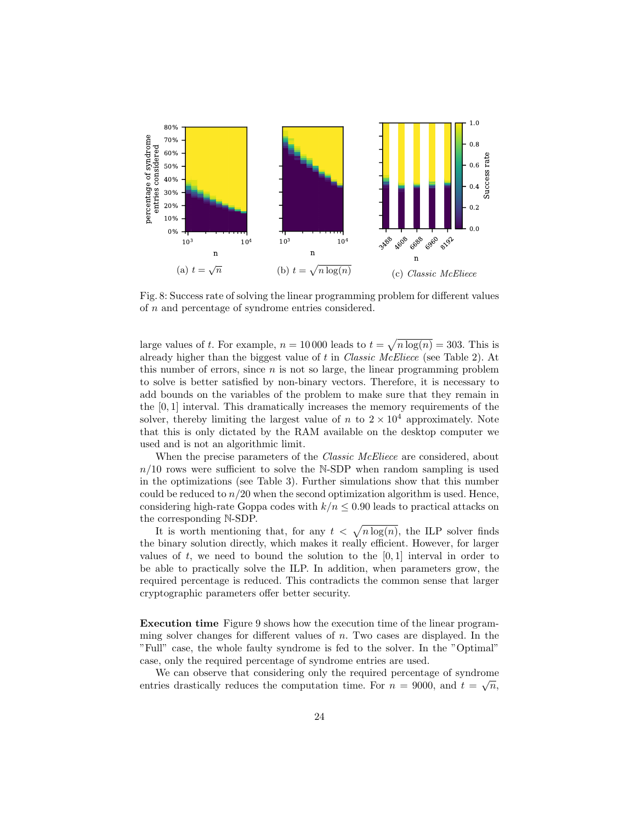

Fig. 8: Success rate of solving the linear programming problem for different values of n and percentage of syndrome entries considered.

large values of t. For example,  $n = 10000$  leads to  $t = \sqrt{n \log(n)} = 303$ . This is already higher than the biggest value of t in Classic McEliece (see Table 2). At this number of errors, since  $n$  is not so large, the linear programming problem to solve is better satisfied by non-binary vectors. Therefore, it is necessary to add bounds on the variables of the problem to make sure that they remain in the [0, 1] interval. This dramatically increases the memory requirements of the solver, thereby limiting the largest value of n to  $2 \times 10^4$  approximately. Note that this is only dictated by the RAM available on the desktop computer we used and is not an algorithmic limit.

When the precise parameters of the *Classic McEliece* are considered, about  $n/10$  rows were sufficient to solve the N-SDP when random sampling is used in the optimizations (see Table 3). Further simulations show that this number could be reduced to  $n/20$  when the second optimization algorithm is used. Hence, considering high-rate Goppa codes with  $k/n \leq 0.90$  leads to practical attacks on the corresponding N-SDP.

It is worth mentioning that, for any  $t < \sqrt{n \log(n)}$ , the ILP solver finds the binary solution directly, which makes it really efficient. However, for larger values of t, we need to bound the solution to the  $[0, 1]$  interval in order to be able to practically solve the ILP. In addition, when parameters grow, the required percentage is reduced. This contradicts the common sense that larger cryptographic parameters offer better security.

Execution time Figure 9 shows how the execution time of the linear programming solver changes for different values of n. Two cases are displayed. In the "Full" case, the whole faulty syndrome is fed to the solver. In the "Optimal" case, only the required percentage of syndrome entries are used.

We can observe that considering only the required percentage of syndrome entries drastically reduces the computation time. For  $n = 9000$ , and  $t = \sqrt{n}$ ,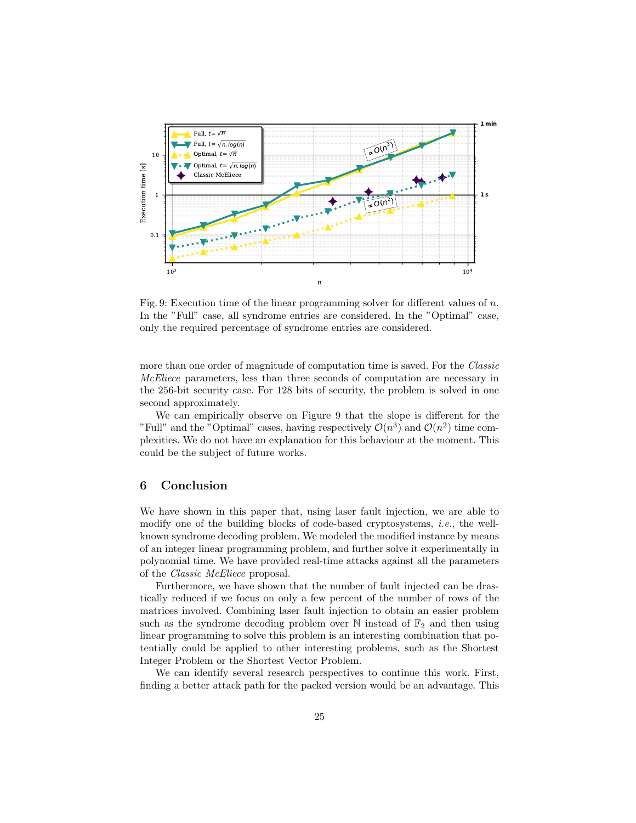

Fig. 9: Execution time of the linear programming solver for different values of n. In the "Full" case, all syndrome entries are considered. In the "Optimal" case, only the required percentage of syndrome entries are considered.

more than one order of magnitude of computation time is saved. For the Classic McEliece parameters, less than three seconds of computation are necessary in the 256-bit security case. For 128 bits of security, the problem is solved in one second approximately.

We can empirically observe on Figure 9 that the slope is different for the "Full" and the "Optimal" cases, having respectively  $\mathcal{O}(n^3)$  and  $\mathcal{O}(n^2)$  time complexities. We do not have an explanation for this behaviour at the moment. This could be the subject of future works.

# 6 Conclusion

We have shown in this paper that, using laser fault injection, we are able to modify one of the building blocks of code-based cryptosystems, i.e., the wellknown syndrome decoding problem. We modeled the modified instance by means of an integer linear programming problem, and further solve it experimentally in polynomial time. We have provided real-time attacks against all the parameters of the Classic McEliece proposal.

Furthermore, we have shown that the number of fault injected can be drastically reduced if we focus on only a few percent of the number of rows of the matrices involved. Combining laser fault injection to obtain an easier problem such as the syndrome decoding problem over  $\mathbb N$  instead of  $\mathbb F_2$  and then using linear programming to solve this problem is an interesting combination that potentially could be applied to other interesting problems, such as the Shortest Integer Problem or the Shortest Vector Problem.

We can identify several research perspectives to continue this work. First, finding a better attack path for the packed version would be an advantage. This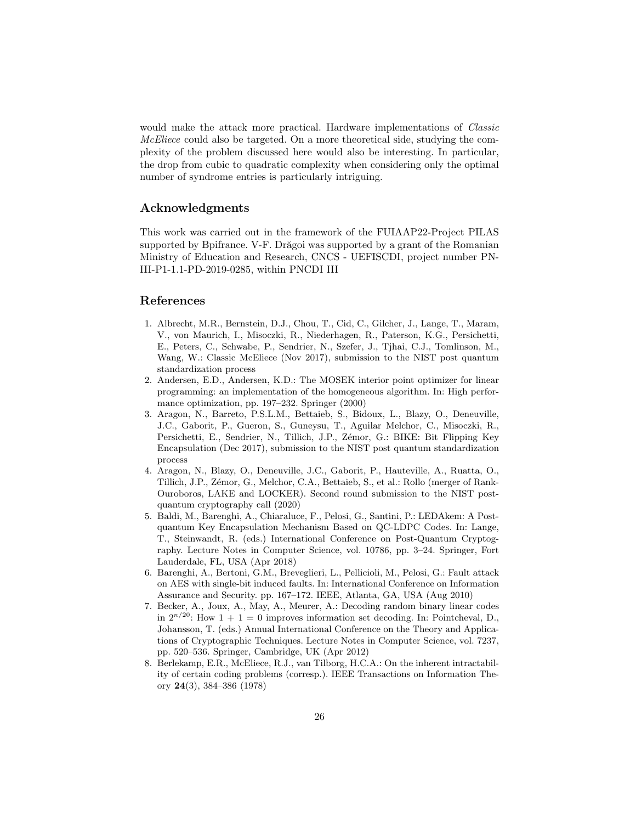would make the attack more practical. Hardware implementations of *Classic* McEliece could also be targeted. On a more theoretical side, studying the complexity of the problem discussed here would also be interesting. In particular, the drop from cubic to quadratic complexity when considering only the optimal number of syndrome entries is particularly intriguing.

## Acknowledgments

This work was carried out in the framework of the FUIAAP22-Project PILAS supported by Bpifrance. V-F. Drăgoi was supported by a grant of the Romanian Ministry of Education and Research, CNCS - UEFISCDI, project number PN-III-P1-1.1-PD-2019-0285, within PNCDI III

## References

- 1. Albrecht, M.R., Bernstein, D.J., Chou, T., Cid, C., Gilcher, J., Lange, T., Maram, V., von Maurich, I., Misoczki, R., Niederhagen, R., Paterson, K.G., Persichetti, E., Peters, C., Schwabe, P., Sendrier, N., Szefer, J., Tjhai, C.J., Tomlinson, M., Wang, W.: Classic McEliece (Nov 2017), submission to the NIST post quantum standardization process
- 2. Andersen, E.D., Andersen, K.D.: The MOSEK interior point optimizer for linear programming: an implementation of the homogeneous algorithm. In: High performance optimization, pp. 197–232. Springer (2000)
- 3. Aragon, N., Barreto, P.S.L.M., Bettaieb, S., Bidoux, L., Blazy, O., Deneuville, J.C., Gaborit, P., Gueron, S., Guneysu, T., Aguilar Melchor, C., Misoczki, R., Persichetti, E., Sendrier, N., Tillich, J.P., Zémor, G.: BIKE: Bit Flipping Key Encapsulation (Dec 2017), submission to the NIST post quantum standardization process
- 4. Aragon, N., Blazy, O., Deneuville, J.C., Gaborit, P., Hauteville, A., Ruatta, O., Tillich, J.P., Zémor, G., Melchor, C.A., Bettaieb, S., et al.: Rollo (merger of Rank-Ouroboros, LAKE and LOCKER). Second round submission to the NIST postquantum cryptography call (2020)
- 5. Baldi, M., Barenghi, A., Chiaraluce, F., Pelosi, G., Santini, P.: LEDAkem: A Postquantum Key Encapsulation Mechanism Based on QC-LDPC Codes. In: Lange, T., Steinwandt, R. (eds.) International Conference on Post-Quantum Cryptography. Lecture Notes in Computer Science, vol. 10786, pp. 3–24. Springer, Fort Lauderdale, FL, USA (Apr 2018)
- 6. Barenghi, A., Bertoni, G.M., Breveglieri, L., Pellicioli, M., Pelosi, G.: Fault attack on AES with single-bit induced faults. In: International Conference on Information Assurance and Security. pp. 167–172. IEEE, Atlanta, GA, USA (Aug 2010)
- 7. Becker, A., Joux, A., May, A., Meurer, A.: Decoding random binary linear codes in  $2^{n/20}$ : How  $1 + 1 = 0$  improves information set decoding. In: Pointcheval, D., Johansson, T. (eds.) Annual International Conference on the Theory and Applications of Cryptographic Techniques. Lecture Notes in Computer Science, vol. 7237, pp. 520–536. Springer, Cambridge, UK (Apr 2012)
- 8. Berlekamp, E.R., McEliece, R.J., van Tilborg, H.C.A.: On the inherent intractability of certain coding problems (corresp.). IEEE Transactions on Information Theory 24(3), 384–386 (1978)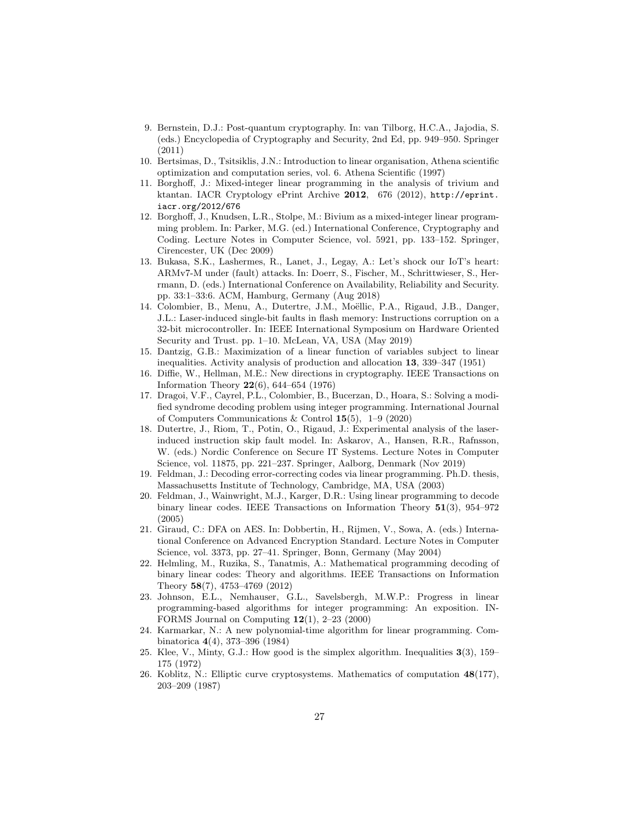- 9. Bernstein, D.J.: Post-quantum cryptography. In: van Tilborg, H.C.A., Jajodia, S. (eds.) Encyclopedia of Cryptography and Security, 2nd Ed, pp. 949–950. Springer (2011)
- 10. Bertsimas, D., Tsitsiklis, J.N.: Introduction to linear organisation, Athena scientific optimization and computation series, vol. 6. Athena Scientific (1997)
- 11. Borghoff, J.: Mixed-integer linear programming in the analysis of trivium and ktantan. IACR Cryptology ePrint Archive 2012, 676 (2012), http://eprint. iacr.org/2012/676
- 12. Borghoff, J., Knudsen, L.R., Stolpe, M.: Bivium as a mixed-integer linear programming problem. In: Parker, M.G. (ed.) International Conference, Cryptography and Coding. Lecture Notes in Computer Science, vol. 5921, pp. 133–152. Springer, Cirencester, UK (Dec 2009)
- 13. Bukasa, S.K., Lashermes, R., Lanet, J., Legay, A.: Let's shock our IoT's heart: ARMv7-M under (fault) attacks. In: Doerr, S., Fischer, M., Schrittwieser, S., Herrmann, D. (eds.) International Conference on Availability, Reliability and Security. pp. 33:1–33:6. ACM, Hamburg, Germany (Aug 2018)
- 14. Colombier, B., Menu, A., Dutertre, J.M., Moëllic, P.A., Rigaud, J.B., Danger, J.L.: Laser-induced single-bit faults in flash memory: Instructions corruption on a 32-bit microcontroller. In: IEEE International Symposium on Hardware Oriented Security and Trust. pp. 1–10. McLean, VA, USA (May 2019)
- 15. Dantzig, G.B.: Maximization of a linear function of variables subject to linear inequalities. Activity analysis of production and allocation 13, 339–347 (1951)
- 16. Diffie, W., Hellman, M.E.: New directions in cryptography. IEEE Transactions on Information Theory 22(6), 644–654 (1976)
- 17. Dragoi, V.F., Cayrel, P.L., Colombier, B., Bucerzan, D., Hoara, S.: Solving a modified syndrome decoding problem using integer programming. International Journal of Computers Communications & Control 15(5), 1–9 (2020)
- 18. Dutertre, J., Riom, T., Potin, O., Rigaud, J.: Experimental analysis of the laserinduced instruction skip fault model. In: Askarov, A., Hansen, R.R., Rafnsson, W. (eds.) Nordic Conference on Secure IT Systems. Lecture Notes in Computer Science, vol. 11875, pp. 221–237. Springer, Aalborg, Denmark (Nov 2019)
- 19. Feldman, J.: Decoding error-correcting codes via linear programming. Ph.D. thesis, Massachusetts Institute of Technology, Cambridge, MA, USA (2003)
- 20. Feldman, J., Wainwright, M.J., Karger, D.R.: Using linear programming to decode binary linear codes. IEEE Transactions on Information Theory 51(3), 954–972 (2005)
- 21. Giraud, C.: DFA on AES. In: Dobbertin, H., Rijmen, V., Sowa, A. (eds.) International Conference on Advanced Encryption Standard. Lecture Notes in Computer Science, vol. 3373, pp. 27–41. Springer, Bonn, Germany (May 2004)
- 22. Helmling, M., Ruzika, S., Tanatmis, A.: Mathematical programming decoding of binary linear codes: Theory and algorithms. IEEE Transactions on Information Theory 58(7), 4753–4769 (2012)
- 23. Johnson, E.L., Nemhauser, G.L., Savelsbergh, M.W.P.: Progress in linear programming-based algorithms for integer programming: An exposition. IN-FORMS Journal on Computing  $12(1)$ , 2–23 (2000)
- 24. Karmarkar, N.: A new polynomial-time algorithm for linear programming. Combinatorica 4(4), 373–396 (1984)
- 25. Klee, V., Minty, G.J.: How good is the simplex algorithm. Inequalities 3(3), 159– 175 (1972)
- 26. Koblitz, N.: Elliptic curve cryptosystems. Mathematics of computation 48(177), 203–209 (1987)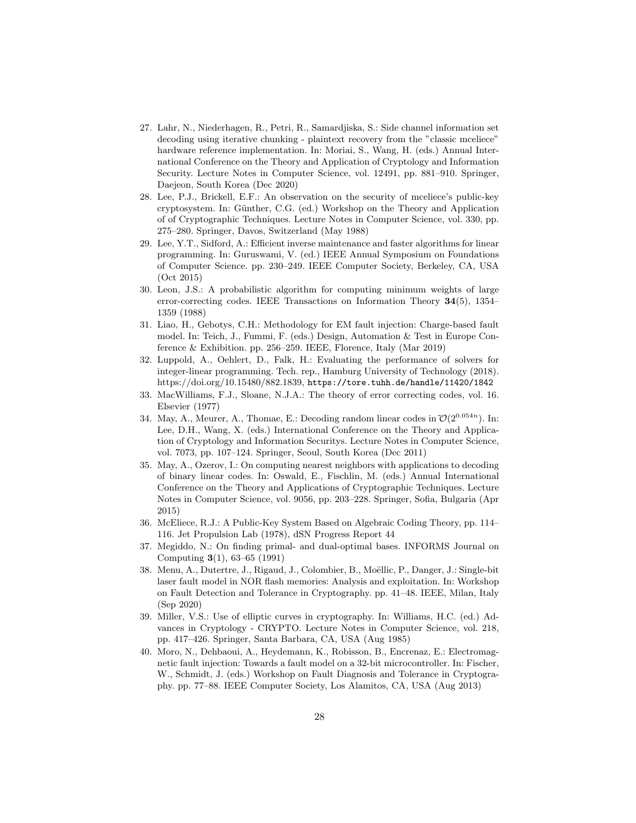- 27. Lahr, N., Niederhagen, R., Petri, R., Samardjiska, S.: Side channel information set decoding using iterative chunking - plaintext recovery from the "classic mceliece" hardware reference implementation. In: Moriai, S., Wang, H. (eds.) Annual International Conference on the Theory and Application of Cryptology and Information Security. Lecture Notes in Computer Science, vol. 12491, pp. 881–910. Springer, Daejeon, South Korea (Dec 2020)
- 28. Lee, P.J., Brickell, E.F.: An observation on the security of mceliece's public-key cryptosystem. In: G¨unther, C.G. (ed.) Workshop on the Theory and Application of of Cryptographic Techniques. Lecture Notes in Computer Science, vol. 330, pp. 275–280. Springer, Davos, Switzerland (May 1988)
- 29. Lee, Y.T., Sidford, A.: Efficient inverse maintenance and faster algorithms for linear programming. In: Guruswami, V. (ed.) IEEE Annual Symposium on Foundations of Computer Science. pp. 230–249. IEEE Computer Society, Berkeley, CA, USA (Oct 2015)
- 30. Leon, J.S.: A probabilistic algorithm for computing minimum weights of large error-correcting codes. IEEE Transactions on Information Theory 34(5), 1354– 1359 (1988)
- 31. Liao, H., Gebotys, C.H.: Methodology for EM fault injection: Charge-based fault model. In: Teich, J., Fummi, F. (eds.) Design, Automation & Test in Europe Conference & Exhibition. pp. 256–259. IEEE, Florence, Italy (Mar 2019)
- 32. Luppold, A., Oehlert, D., Falk, H.: Evaluating the performance of solvers for integer-linear programming. Tech. rep., Hamburg University of Technology (2018). https://doi.org/10.15480/882.1839, https://tore.tuhh.de/handle/11420/1842
- 33. MacWilliams, F.J., Sloane, N.J.A.: The theory of error correcting codes, vol. 16. Elsevier (1977)
- 34. May, A., Meurer, A., Thomae, E.: Decoding random linear codes in  $\mathcal{O}(2^{0.054n})$ . In: Lee, D.H., Wang, X. (eds.) International Conference on the Theory and Application of Cryptology and Information Securitys. Lecture Notes in Computer Science, vol. 7073, pp. 107–124. Springer, Seoul, South Korea (Dec 2011)
- 35. May, A., Ozerov, I.: On computing nearest neighbors with applications to decoding of binary linear codes. In: Oswald, E., Fischlin, M. (eds.) Annual International Conference on the Theory and Applications of Cryptographic Techniques. Lecture Notes in Computer Science, vol. 9056, pp. 203–228. Springer, Sofia, Bulgaria (Apr 2015)
- 36. McEliece, R.J.: A Public-Key System Based on Algebraic Coding Theory, pp. 114– 116. Jet Propulsion Lab (1978), dSN Progress Report 44
- 37. Megiddo, N.: On finding primal- and dual-optimal bases. INFORMS Journal on Computing 3(1), 63–65 (1991)
- 38. Menu, A., Dutertre, J., Rigaud, J., Colombier, B., Moëllic, P., Danger, J.: Single-bit laser fault model in NOR flash memories: Analysis and exploitation. In: Workshop on Fault Detection and Tolerance in Cryptography. pp. 41–48. IEEE, Milan, Italy (Sep 2020)
- 39. Miller, V.S.: Use of elliptic curves in cryptography. In: Williams, H.C. (ed.) Advances in Cryptology - CRYPTO. Lecture Notes in Computer Science, vol. 218, pp. 417–426. Springer, Santa Barbara, CA, USA (Aug 1985)
- 40. Moro, N., Dehbaoui, A., Heydemann, K., Robisson, B., Encrenaz, E.: Electromagnetic fault injection: Towards a fault model on a 32-bit microcontroller. In: Fischer, W., Schmidt, J. (eds.) Workshop on Fault Diagnosis and Tolerance in Cryptography. pp. 77–88. IEEE Computer Society, Los Alamitos, CA, USA (Aug 2013)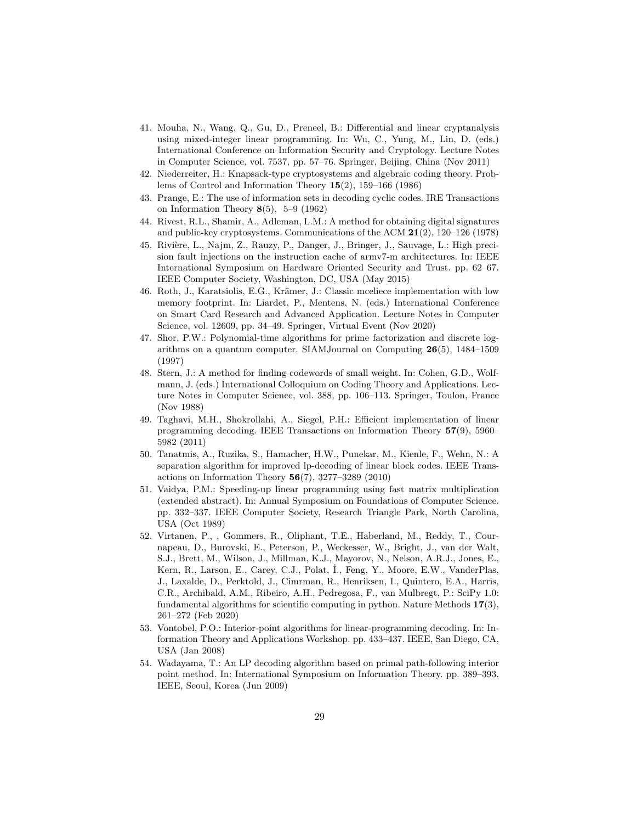- 41. Mouha, N., Wang, Q., Gu, D., Preneel, B.: Differential and linear cryptanalysis using mixed-integer linear programming. In: Wu, C., Yung, M., Lin, D. (eds.) International Conference on Information Security and Cryptology. Lecture Notes in Computer Science, vol. 7537, pp. 57–76. Springer, Beijing, China (Nov 2011)
- 42. Niederreiter, H.: Knapsack-type cryptosystems and algebraic coding theory. Problems of Control and Information Theory 15(2), 159–166 (1986)
- 43. Prange, E.: The use of information sets in decoding cyclic codes. IRE Transactions on Information Theory  $8(5)$ , 5–9 (1962)
- 44. Rivest, R.L., Shamir, A., Adleman, L.M.: A method for obtaining digital signatures and public-key cryptosystems. Communications of the ACM 21(2), 120–126 (1978)
- 45. Rivière, L., Najm, Z., Rauzy, P., Danger, J., Bringer, J., Sauvage, L.: High precision fault injections on the instruction cache of armv7-m architectures. In: IEEE International Symposium on Hardware Oriented Security and Trust. pp. 62–67. IEEE Computer Society, Washington, DC, USA (May 2015)
- 46. Roth, J., Karatsiolis, E.G., Krämer, J.: Classic mceliece implementation with low memory footprint. In: Liardet, P., Mentens, N. (eds.) International Conference on Smart Card Research and Advanced Application. Lecture Notes in Computer Science, vol. 12609, pp. 34–49. Springer, Virtual Event (Nov 2020)
- 47. Shor, P.W.: Polynomial-time algorithms for prime factorization and discrete logarithms on a quantum computer. SIAMJournal on Computing 26(5), 1484–1509 (1997)
- 48. Stern, J.: A method for finding codewords of small weight. In: Cohen, G.D., Wolfmann, J. (eds.) International Colloquium on Coding Theory and Applications. Lecture Notes in Computer Science, vol. 388, pp. 106–113. Springer, Toulon, France (Nov 1988)
- 49. Taghavi, M.H., Shokrollahi, A., Siegel, P.H.: Efficient implementation of linear programming decoding. IEEE Transactions on Information Theory 57(9), 5960– 5982 (2011)
- 50. Tanatmis, A., Ruzika, S., Hamacher, H.W., Punekar, M., Kienle, F., Wehn, N.: A separation algorithm for improved lp-decoding of linear block codes. IEEE Transactions on Information Theory 56(7), 3277–3289 (2010)
- 51. Vaidya, P.M.: Speeding-up linear programming using fast matrix multiplication (extended abstract). In: Annual Symposium on Foundations of Computer Science. pp. 332–337. IEEE Computer Society, Research Triangle Park, North Carolina, USA (Oct 1989)
- 52. Virtanen, P., , Gommers, R., Oliphant, T.E., Haberland, M., Reddy, T., Cournapeau, D., Burovski, E., Peterson, P., Weckesser, W., Bright, J., van der Walt, S.J., Brett, M., Wilson, J., Millman, K.J., Mayorov, N., Nelson, A.R.J., Jones, E., Kern, R., Larson, E., Carey, C.J., Polat, I., Feng, Y., Moore, E.W., VanderPlas, J., Laxalde, D., Perktold, J., Cimrman, R., Henriksen, I., Quintero, E.A., Harris, C.R., Archibald, A.M., Ribeiro, A.H., Pedregosa, F., van Mulbregt, P.: SciPy 1.0: fundamental algorithms for scientific computing in python. Nature Methods  $17(3)$ , 261–272 (Feb 2020)
- 53. Vontobel, P.O.: Interior-point algorithms for linear-programming decoding. In: Information Theory and Applications Workshop. pp. 433–437. IEEE, San Diego, CA, USA (Jan 2008)
- 54. Wadayama, T.: An LP decoding algorithm based on primal path-following interior point method. In: International Symposium on Information Theory. pp. 389–393. IEEE, Seoul, Korea (Jun 2009)